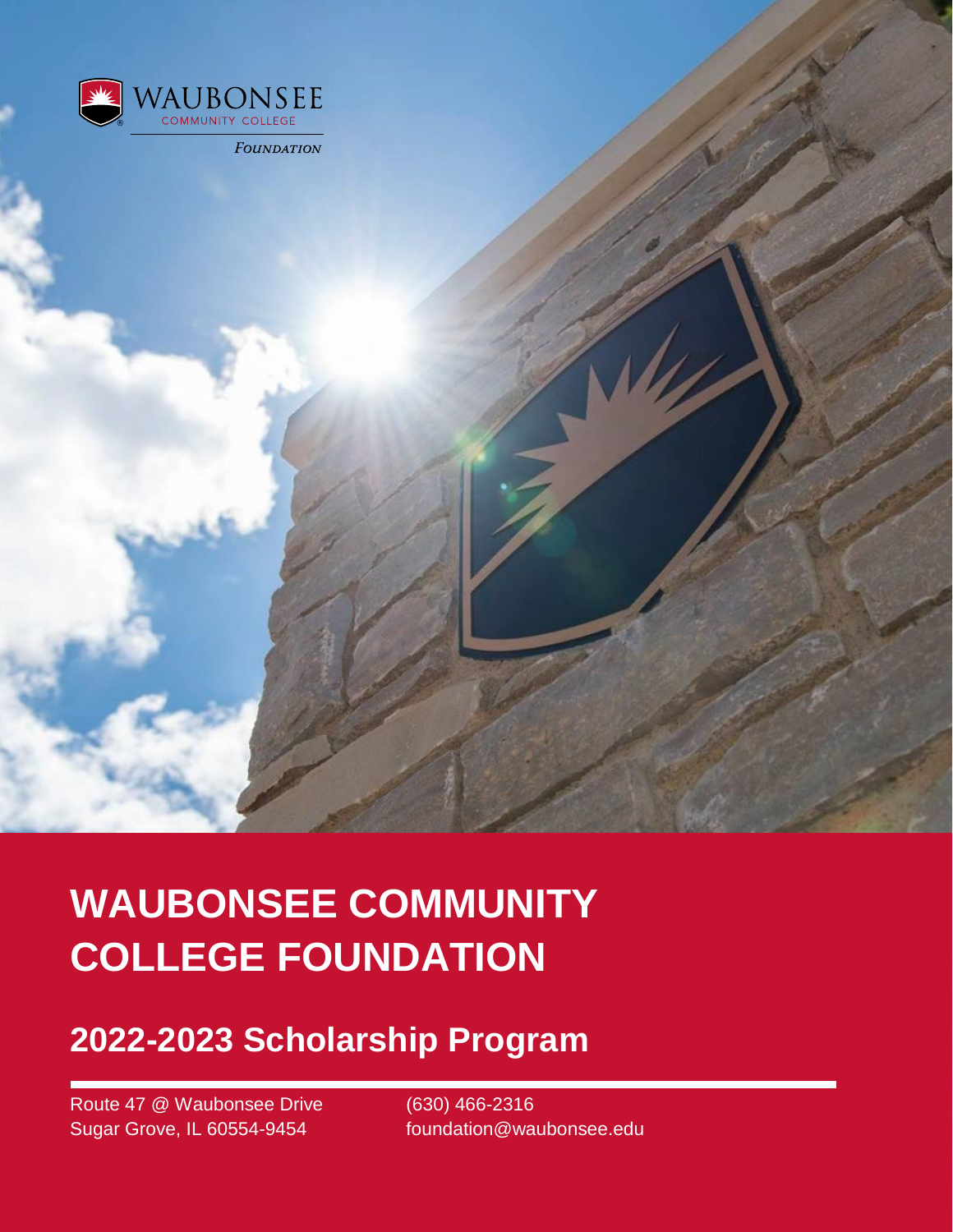

# **WAUBONSEE COMMUNITY COLLEGE FOUNDATION**

### **2022-2023 Scholarship Program**

Route 47 @ Waubonsee Drive (630) 466-2316 Sugar Grove, IL 60554-9454 foundation@waubonsee.edu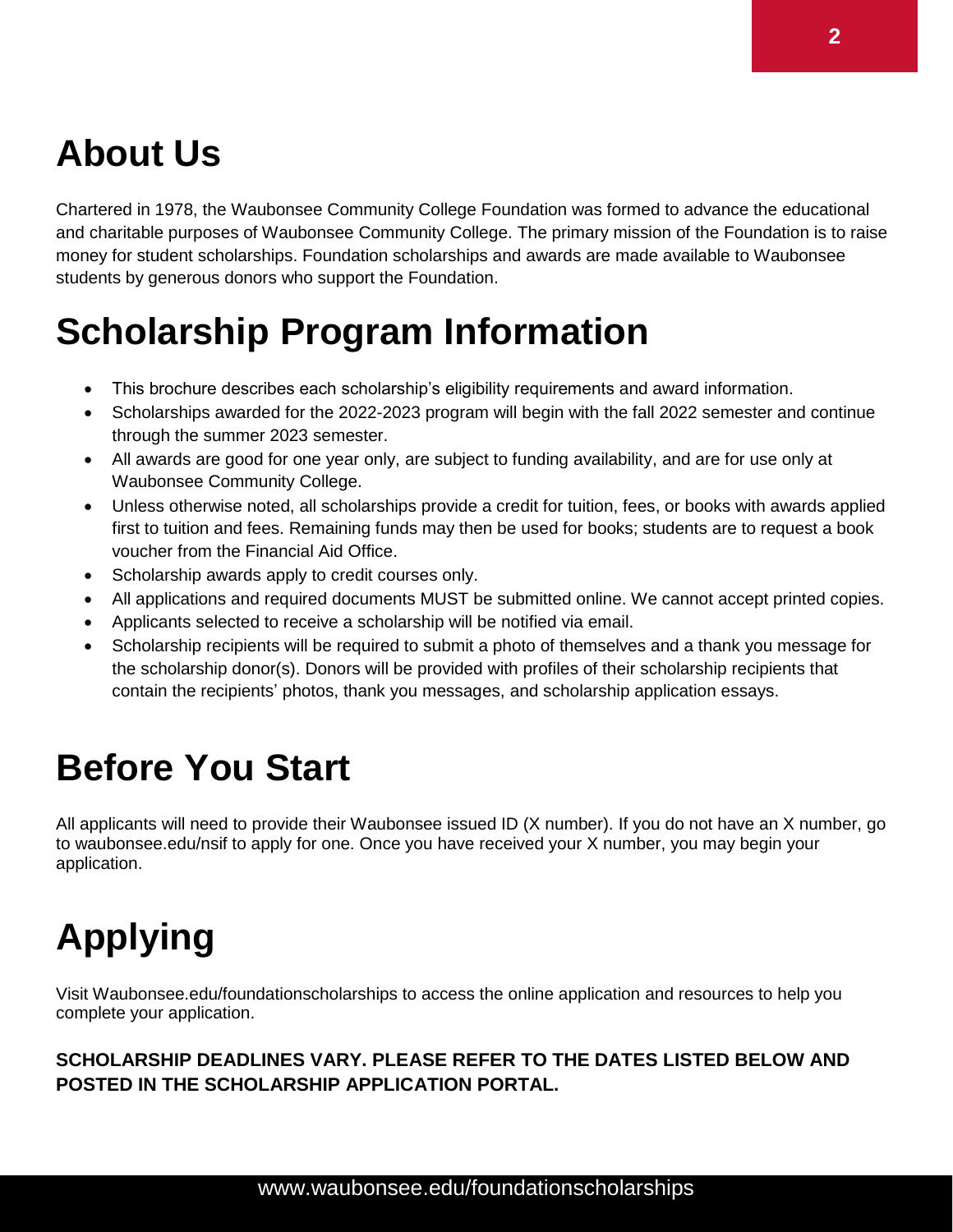## **About Us**

Chartered in 1978, the Waubonsee Community College Foundation was formed to advance the educational and charitable purposes of Waubonsee Community College. The primary mission of the Foundation is to raise money for student scholarships. Foundation scholarships and awards are made available to Waubonsee students by generous donors who support the Foundation.

## **Scholarship Program Information**

- This brochure describes each scholarship's eligibility requirements and award information.
- Scholarships awarded for the 2022-2023 program will begin with the fall 2022 semester and continue through the summer 2023 semester.
- All awards are good for one year only, are subject to funding availability, and are for use only at Waubonsee Community College.
- Unless otherwise noted, all scholarships provide a credit for tuition, fees, or books with awards applied first to tuition and fees. Remaining funds may then be used for books; students are to request a book voucher from the Financial Aid Office.
- Scholarship awards apply to credit courses only.
- All applications and required documents MUST be submitted online. We cannot accept printed copies.
- Applicants selected to receive a scholarship will be notified via email.
- Scholarship recipients will be required to submit a photo of themselves and a thank you message for the scholarship donor(s). Donors will be provided with profiles of their scholarship recipients that contain the recipients' photos, thank you messages, and scholarship application essays.

### **Before You Start**

All applicants will need to provide their Waubonsee issued ID (X number). If you do not have an X number, go to waubonsee.edu/nsif to apply for one. Once you have received your X number, you may begin your application.

# **Applying**

Visit Waubonsee.edu/foundationscholarships to access the online application and resources to help you complete your application.

#### **SCHOLARSHIP DEADLINES VARY. PLEASE REFER TO THE DATES LISTED BELOW AND POSTED IN THE SCHOLARSHIP APPLICATION PORTAL.**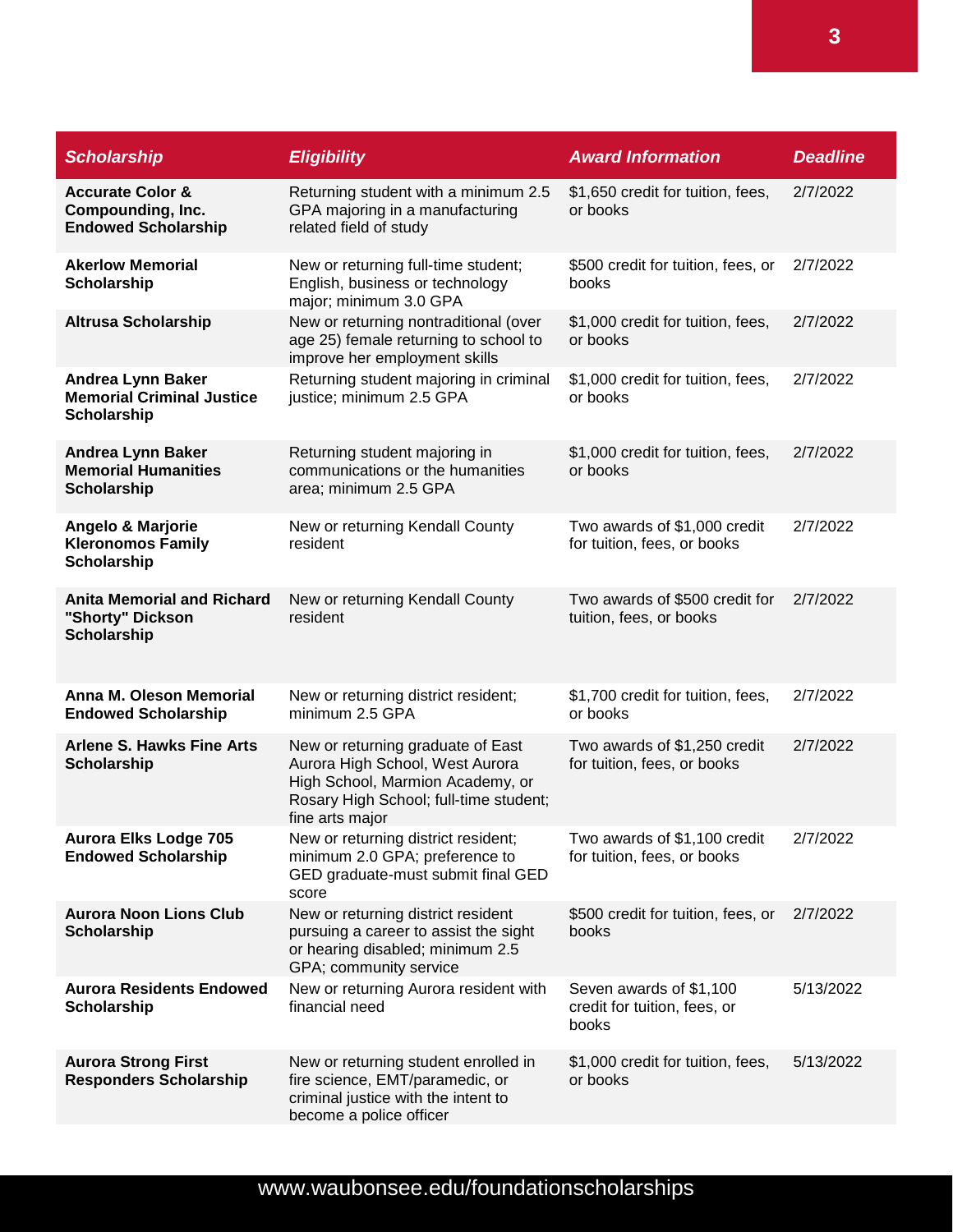| <b>Scholarship</b>                                                                 | <b>Eligibility</b>                                                                                                                                                    | <b>Award Information</b>                                         | <b>Deadline</b> |
|------------------------------------------------------------------------------------|-----------------------------------------------------------------------------------------------------------------------------------------------------------------------|------------------------------------------------------------------|-----------------|
| <b>Accurate Color &amp;</b><br>Compounding, Inc.<br><b>Endowed Scholarship</b>     | Returning student with a minimum 2.5<br>GPA majoring in a manufacturing<br>related field of study                                                                     | \$1,650 credit for tuition, fees,<br>or books                    | 2/7/2022        |
| <b>Akerlow Memorial</b><br><b>Scholarship</b>                                      | New or returning full-time student;<br>English, business or technology<br>major; minimum 3.0 GPA                                                                      | \$500 credit for tuition, fees, or<br>books                      | 2/7/2022        |
| <b>Altrusa Scholarship</b>                                                         | New or returning nontraditional (over<br>age 25) female returning to school to<br>improve her employment skills                                                       | \$1,000 credit for tuition, fees,<br>or books                    | 2/7/2022        |
| <b>Andrea Lynn Baker</b><br><b>Memorial Criminal Justice</b><br><b>Scholarship</b> | Returning student majoring in criminal<br>justice; minimum 2.5 GPA                                                                                                    | \$1,000 credit for tuition, fees,<br>or books                    | 2/7/2022        |
| <b>Andrea Lynn Baker</b><br><b>Memorial Humanities</b><br><b>Scholarship</b>       | Returning student majoring in<br>communications or the humanities<br>area; minimum 2.5 GPA                                                                            | \$1,000 credit for tuition, fees,<br>or books                    | 2/7/2022        |
| <b>Angelo &amp; Marjorie</b><br><b>Kleronomos Family</b><br><b>Scholarship</b>     | New or returning Kendall County<br>resident                                                                                                                           | Two awards of \$1,000 credit<br>for tuition, fees, or books      | 2/7/2022        |
| <b>Anita Memorial and Richard</b><br>"Shorty" Dickson<br><b>Scholarship</b>        | New or returning Kendall County<br>resident                                                                                                                           | Two awards of \$500 credit for<br>tuition, fees, or books        | 2/7/2022        |
| <b>Anna M. Oleson Memorial</b><br><b>Endowed Scholarship</b>                       | New or returning district resident;<br>minimum 2.5 GPA                                                                                                                | \$1,700 credit for tuition, fees,<br>or books                    | 2/7/2022        |
| <b>Arlene S. Hawks Fine Arts</b><br><b>Scholarship</b>                             | New or returning graduate of East<br>Aurora High School, West Aurora<br>High School, Marmion Academy, or<br>Rosary High School; full-time student;<br>fine arts major | Two awards of \$1,250 credit<br>for tuition, fees, or books      | 2/7/2022        |
| <b>Aurora Elks Lodge 705</b><br><b>Endowed Scholarship</b>                         | New or returning district resident;<br>minimum 2.0 GPA; preference to<br>GED graduate-must submit final GED<br>score                                                  | Two awards of \$1,100 credit<br>for tuition, fees, or books      | 2/7/2022        |
| <b>Aurora Noon Lions Club</b><br><b>Scholarship</b>                                | New or returning district resident<br>pursuing a career to assist the sight<br>or hearing disabled; minimum 2.5<br>GPA; community service                             | \$500 credit for tuition, fees, or<br>books                      | 2/7/2022        |
| <b>Aurora Residents Endowed</b><br><b>Scholarship</b>                              | New or returning Aurora resident with<br>financial need                                                                                                               | Seven awards of \$1,100<br>credit for tuition, fees, or<br>books | 5/13/2022       |
| <b>Aurora Strong First</b><br><b>Responders Scholarship</b>                        | New or returning student enrolled in<br>fire science, EMT/paramedic, or<br>criminal justice with the intent to<br>become a police officer                             | \$1,000 credit for tuition, fees,<br>or books                    | 5/13/2022       |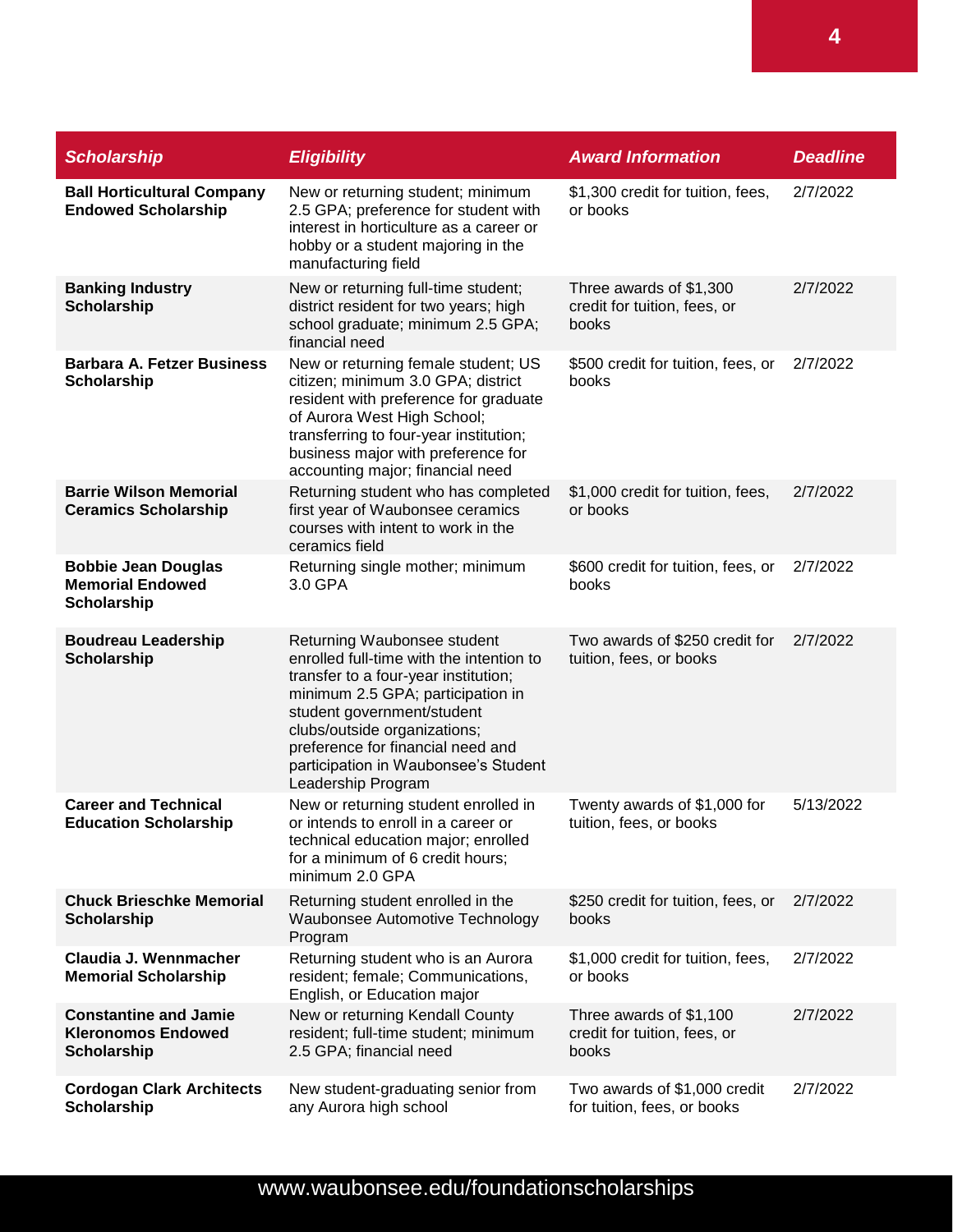| <b>Scholarship</b>                                                              | <b>Eligibility</b>                                                                                                                                                                                                                                                                                                    | <b>Award Information</b>                                         | <b>Deadline</b> |
|---------------------------------------------------------------------------------|-----------------------------------------------------------------------------------------------------------------------------------------------------------------------------------------------------------------------------------------------------------------------------------------------------------------------|------------------------------------------------------------------|-----------------|
| <b>Ball Horticultural Company</b><br><b>Endowed Scholarship</b>                 | New or returning student; minimum<br>2.5 GPA; preference for student with<br>interest in horticulture as a career or<br>hobby or a student majoring in the<br>manufacturing field                                                                                                                                     | \$1,300 credit for tuition, fees,<br>or books                    | 2/7/2022        |
| <b>Banking Industry</b><br><b>Scholarship</b>                                   | New or returning full-time student;<br>district resident for two years; high<br>school graduate; minimum 2.5 GPA;<br>financial need                                                                                                                                                                                   | Three awards of \$1,300<br>credit for tuition, fees, or<br>books | 2/7/2022        |
| <b>Barbara A. Fetzer Business</b><br>Scholarship                                | New or returning female student; US<br>citizen; minimum 3.0 GPA; district<br>resident with preference for graduate<br>of Aurora West High School;<br>transferring to four-year institution;<br>business major with preference for<br>accounting major; financial need                                                 | \$500 credit for tuition, fees, or<br>books                      | 2/7/2022        |
| <b>Barrie Wilson Memorial</b><br><b>Ceramics Scholarship</b>                    | Returning student who has completed<br>first year of Waubonsee ceramics<br>courses with intent to work in the<br>ceramics field                                                                                                                                                                                       | \$1,000 credit for tuition, fees,<br>or books                    | 2/7/2022        |
| <b>Bobbie Jean Douglas</b><br><b>Memorial Endowed</b><br>Scholarship            | Returning single mother; minimum<br>3.0 GPA                                                                                                                                                                                                                                                                           | \$600 credit for tuition, fees, or<br>books                      | 2/7/2022        |
| <b>Boudreau Leadership</b><br>Scholarship                                       | Returning Waubonsee student<br>enrolled full-time with the intention to<br>transfer to a four-year institution;<br>minimum 2.5 GPA; participation in<br>student government/student<br>clubs/outside organizations;<br>preference for financial need and<br>participation in Waubonsee's Student<br>Leadership Program | Two awards of \$250 credit for<br>tuition, fees, or books        | 2/7/2022        |
| <b>Career and Technical</b><br><b>Education Scholarship</b>                     | New or returning student enrolled in<br>or intends to enroll in a career or<br>technical education major; enrolled<br>for a minimum of 6 credit hours;<br>minimum 2.0 GPA                                                                                                                                             | Twenty awards of \$1,000 for<br>tuition, fees, or books          | 5/13/2022       |
| <b>Chuck Brieschke Memorial</b><br><b>Scholarship</b>                           | Returning student enrolled in the<br>Waubonsee Automotive Technology<br>Program                                                                                                                                                                                                                                       | \$250 credit for tuition, fees, or<br>books                      | 2/7/2022        |
| Claudia J. Wennmacher<br><b>Memorial Scholarship</b>                            | Returning student who is an Aurora<br>resident; female; Communications,<br>English, or Education major                                                                                                                                                                                                                | \$1,000 credit for tuition, fees,<br>or books                    | 2/7/2022        |
| <b>Constantine and Jamie</b><br><b>Kleronomos Endowed</b><br><b>Scholarship</b> | New or returning Kendall County<br>resident; full-time student; minimum<br>2.5 GPA; financial need                                                                                                                                                                                                                    | Three awards of \$1,100<br>credit for tuition, fees, or<br>books | 2/7/2022        |
| <b>Cordogan Clark Architects</b><br>Scholarship                                 | New student-graduating senior from<br>any Aurora high school                                                                                                                                                                                                                                                          | Two awards of \$1,000 credit<br>for tuition, fees, or books      | 2/7/2022        |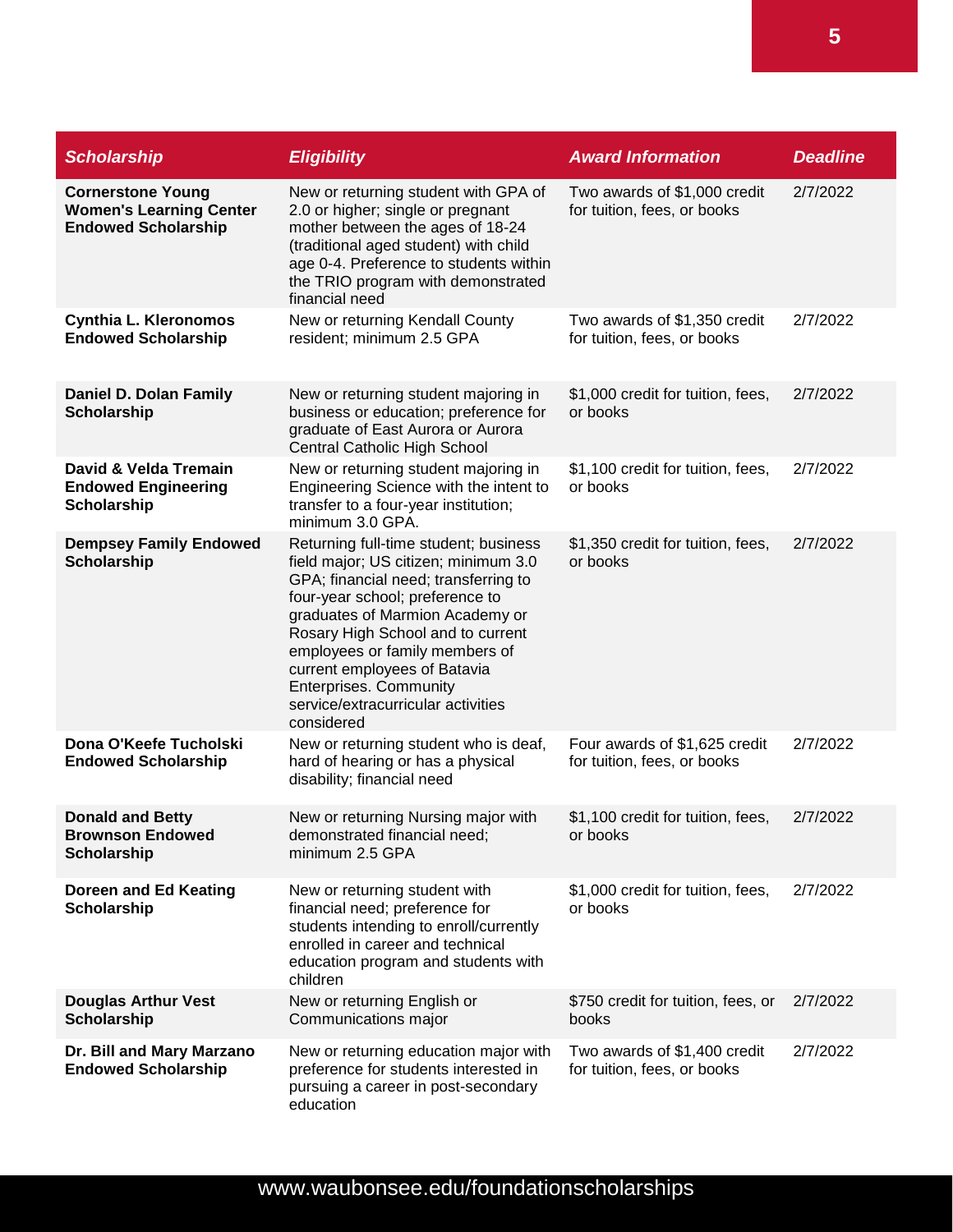| <b>Scholarship</b>                                                                       | <b>Eligibility</b>                                                                                                                                                                                                                                                                                                                                                                      | <b>Award Information</b>                                     | <b>Deadline</b> |
|------------------------------------------------------------------------------------------|-----------------------------------------------------------------------------------------------------------------------------------------------------------------------------------------------------------------------------------------------------------------------------------------------------------------------------------------------------------------------------------------|--------------------------------------------------------------|-----------------|
| <b>Cornerstone Young</b><br><b>Women's Learning Center</b><br><b>Endowed Scholarship</b> | New or returning student with GPA of<br>2.0 or higher; single or pregnant<br>mother between the ages of 18-24<br>(traditional aged student) with child<br>age 0-4. Preference to students within<br>the TRIO program with demonstrated<br>financial need                                                                                                                                | Two awards of \$1,000 credit<br>for tuition, fees, or books  | 2/7/2022        |
| <b>Cynthia L. Kleronomos</b><br><b>Endowed Scholarship</b>                               | New or returning Kendall County<br>resident; minimum 2.5 GPA                                                                                                                                                                                                                                                                                                                            | Two awards of \$1,350 credit<br>for tuition, fees, or books  | 2/7/2022        |
| Daniel D. Dolan Family<br><b>Scholarship</b>                                             | New or returning student majoring in<br>business or education; preference for<br>graduate of East Aurora or Aurora<br>Central Catholic High School                                                                                                                                                                                                                                      | \$1,000 credit for tuition, fees,<br>or books                | 2/7/2022        |
| David & Velda Tremain<br><b>Endowed Engineering</b><br><b>Scholarship</b>                | New or returning student majoring in<br>Engineering Science with the intent to<br>transfer to a four-year institution;<br>minimum 3.0 GPA.                                                                                                                                                                                                                                              | \$1,100 credit for tuition, fees,<br>or books                | 2/7/2022        |
| <b>Dempsey Family Endowed</b><br><b>Scholarship</b>                                      | Returning full-time student; business<br>field major; US citizen; minimum 3.0<br>GPA; financial need; transferring to<br>four-year school; preference to<br>graduates of Marmion Academy or<br>Rosary High School and to current<br>employees or family members of<br>current employees of Batavia<br><b>Enterprises. Community</b><br>service/extracurricular activities<br>considered | \$1,350 credit for tuition, fees,<br>or books                | 2/7/2022        |
| Dona O'Keefe Tucholski<br><b>Endowed Scholarship</b>                                     | New or returning student who is deaf,<br>hard of hearing or has a physical<br>disability; financial need                                                                                                                                                                                                                                                                                | Four awards of \$1,625 credit<br>for tuition, fees, or books | 2/7/2022        |
| <b>Donald and Betty</b><br><b>Brownson Endowed</b><br><b>Scholarship</b>                 | New or returning Nursing major with<br>demonstrated financial need;<br>minimum 2.5 GPA                                                                                                                                                                                                                                                                                                  | \$1,100 credit for tuition, fees,<br>or books                | 2/7/2022        |
| Doreen and Ed Keating<br><b>Scholarship</b>                                              | New or returning student with<br>financial need; preference for<br>students intending to enroll/currently<br>enrolled in career and technical<br>education program and students with<br>children                                                                                                                                                                                        | \$1,000 credit for tuition, fees,<br>or books                | 2/7/2022        |
| <b>Douglas Arthur Vest</b><br><b>Scholarship</b>                                         | New or returning English or<br>Communications major                                                                                                                                                                                                                                                                                                                                     | \$750 credit for tuition, fees, or<br>books                  | 2/7/2022        |
| Dr. Bill and Mary Marzano<br><b>Endowed Scholarship</b>                                  | New or returning education major with<br>preference for students interested in<br>pursuing a career in post-secondary<br>education                                                                                                                                                                                                                                                      | Two awards of \$1,400 credit<br>for tuition, fees, or books  | 2/7/2022        |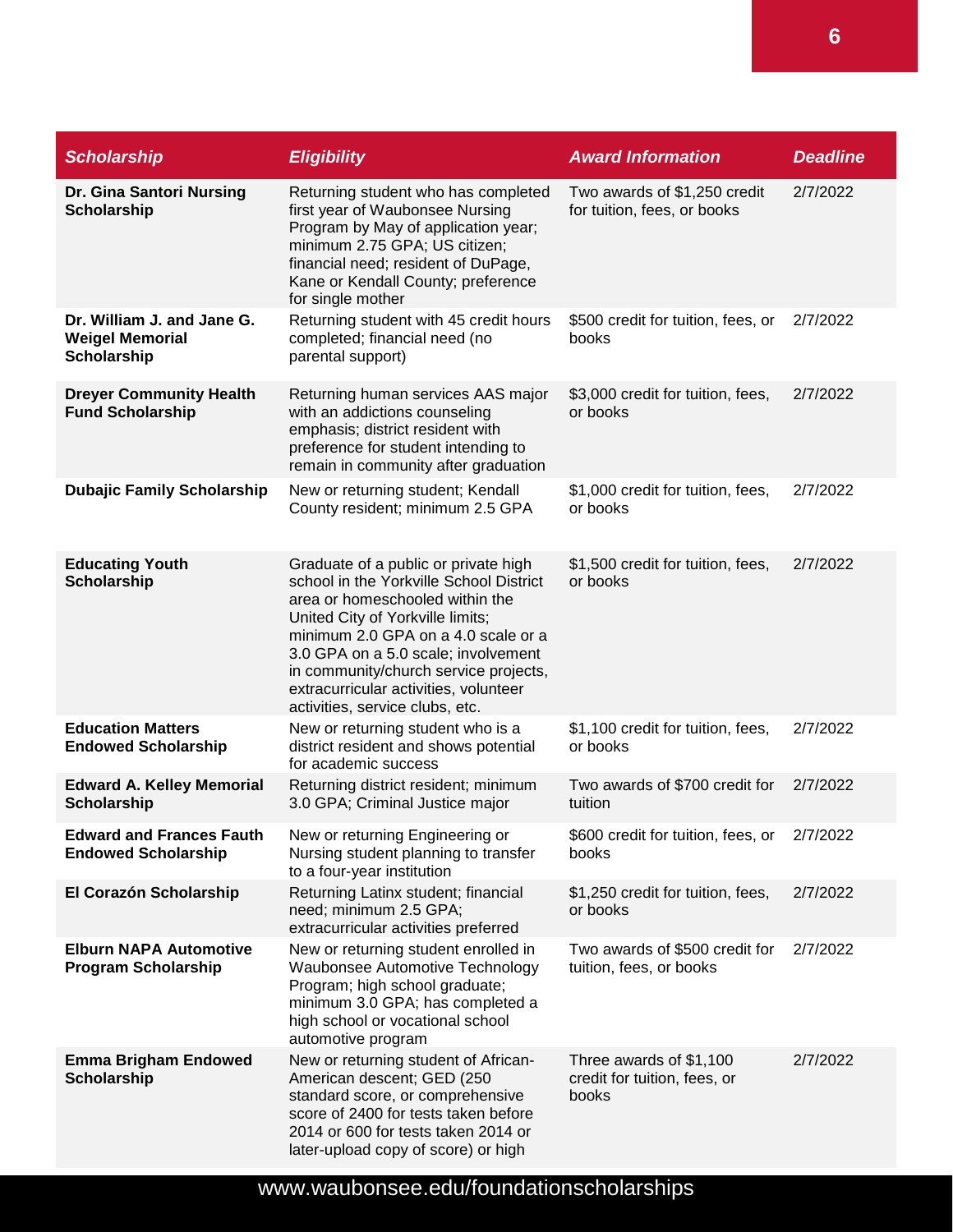| <b>Scholarship</b>                                                  | <b>Eligibility</b>                                                                                                                                                                                                                                                                                                                                        | <b>Award Information</b>                                         | <b>Deadline</b> |
|---------------------------------------------------------------------|-----------------------------------------------------------------------------------------------------------------------------------------------------------------------------------------------------------------------------------------------------------------------------------------------------------------------------------------------------------|------------------------------------------------------------------|-----------------|
| Dr. Gina Santori Nursing<br><b>Scholarship</b>                      | Returning student who has completed<br>first year of Waubonsee Nursing<br>Program by May of application year;<br>minimum 2.75 GPA; US citizen;<br>financial need; resident of DuPage,<br>Kane or Kendall County; preference<br>for single mother                                                                                                          | Two awards of \$1,250 credit<br>for tuition, fees, or books      | 2/7/2022        |
| Dr. William J. and Jane G.<br><b>Weigel Memorial</b><br>Scholarship | Returning student with 45 credit hours<br>completed; financial need (no<br>parental support)                                                                                                                                                                                                                                                              | \$500 credit for tuition, fees, or<br>books                      | 2/7/2022        |
| <b>Dreyer Community Health</b><br><b>Fund Scholarship</b>           | Returning human services AAS major<br>with an addictions counseling<br>emphasis; district resident with<br>preference for student intending to<br>remain in community after graduation                                                                                                                                                                    | \$3,000 credit for tuition, fees,<br>or books                    | 2/7/2022        |
| <b>Dubajic Family Scholarship</b>                                   | New or returning student; Kendall<br>County resident; minimum 2.5 GPA                                                                                                                                                                                                                                                                                     | \$1,000 credit for tuition, fees,<br>or books                    | 2/7/2022        |
| <b>Educating Youth</b><br><b>Scholarship</b>                        | Graduate of a public or private high<br>school in the Yorkville School District<br>area or homeschooled within the<br>United City of Yorkville limits;<br>minimum 2.0 GPA on a 4.0 scale or a<br>3.0 GPA on a 5.0 scale; involvement<br>in community/church service projects,<br>extracurricular activities, volunteer<br>activities, service clubs, etc. | \$1,500 credit for tuition, fees,<br>or books                    | 2/7/2022        |
| <b>Education Matters</b><br><b>Endowed Scholarship</b>              | New or returning student who is a<br>district resident and shows potential<br>for academic success                                                                                                                                                                                                                                                        | \$1,100 credit for tuition, fees,<br>or books                    | 2/7/2022        |
| <b>Edward A. Kelley Memorial</b><br>Scholarship                     | Returning district resident; minimum<br>3.0 GPA; Criminal Justice major                                                                                                                                                                                                                                                                                   | Two awards of \$700 credit for<br>tuition                        | 2/7/2022        |
| <b>Edward and Frances Fauth</b><br><b>Endowed Scholarship</b>       | New or returning Engineering or<br>Nursing student planning to transfer<br>to a four-year institution                                                                                                                                                                                                                                                     | \$600 credit for tuition, fees, or<br>books                      | 2/7/2022        |
| El Corazón Scholarship                                              | Returning Latinx student; financial<br>need; minimum 2.5 GPA;<br>extracurricular activities preferred                                                                                                                                                                                                                                                     | \$1,250 credit for tuition, fees,<br>or books                    | 2/7/2022        |
| <b>Elburn NAPA Automotive</b><br><b>Program Scholarship</b>         | New or returning student enrolled in<br><b>Waubonsee Automotive Technology</b><br>Program; high school graduate;<br>minimum 3.0 GPA; has completed a<br>high school or vocational school<br>automotive program                                                                                                                                            | Two awards of \$500 credit for<br>tuition, fees, or books        | 2/7/2022        |
| <b>Emma Brigham Endowed</b><br><b>Scholarship</b>                   | New or returning student of African-<br>American descent; GED (250<br>standard score, or comprehensive<br>score of 2400 for tests taken before<br>2014 or 600 for tests taken 2014 or<br>later-upload copy of score) or high                                                                                                                              | Three awards of \$1,100<br>credit for tuition, fees, or<br>books | 2/7/2022        |

www.waubonsee.edu/foundationscholarships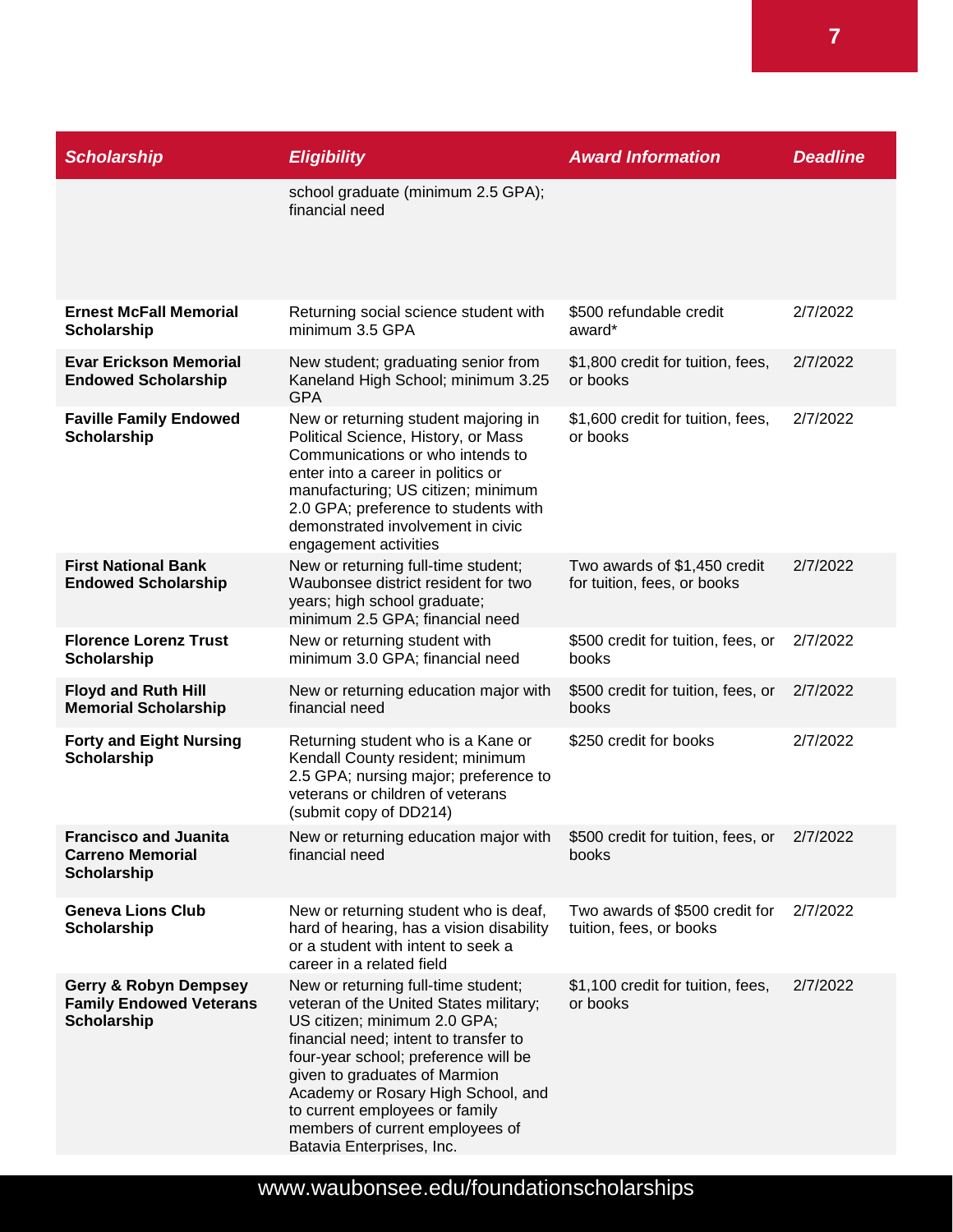| <b>Scholarship</b>                                                                       | <b>Eligibility</b>                                                                                                                                                                                                                                                                                                                                                      | <b>Award Information</b>                                    | <b>Deadline</b> |
|------------------------------------------------------------------------------------------|-------------------------------------------------------------------------------------------------------------------------------------------------------------------------------------------------------------------------------------------------------------------------------------------------------------------------------------------------------------------------|-------------------------------------------------------------|-----------------|
|                                                                                          | school graduate (minimum 2.5 GPA);<br>financial need                                                                                                                                                                                                                                                                                                                    |                                                             |                 |
| <b>Ernest McFall Memorial</b><br><b>Scholarship</b>                                      | Returning social science student with<br>minimum 3.5 GPA                                                                                                                                                                                                                                                                                                                | \$500 refundable credit<br>award*                           | 2/7/2022        |
| <b>Evar Erickson Memorial</b><br><b>Endowed Scholarship</b>                              | New student; graduating senior from<br>Kaneland High School; minimum 3.25<br><b>GPA</b>                                                                                                                                                                                                                                                                                 | \$1,800 credit for tuition, fees,<br>or books               | 2/7/2022        |
| <b>Faville Family Endowed</b><br>Scholarship                                             | New or returning student majoring in<br>Political Science, History, or Mass<br>Communications or who intends to<br>enter into a career in politics or<br>manufacturing; US citizen; minimum<br>2.0 GPA; preference to students with<br>demonstrated involvement in civic<br>engagement activities                                                                       | \$1,600 credit for tuition, fees,<br>or books               | 2/7/2022        |
| <b>First National Bank</b><br><b>Endowed Scholarship</b>                                 | New or returning full-time student;<br>Waubonsee district resident for two<br>years; high school graduate;<br>minimum 2.5 GPA; financial need                                                                                                                                                                                                                           | Two awards of \$1,450 credit<br>for tuition, fees, or books | 2/7/2022        |
| <b>Florence Lorenz Trust</b><br><b>Scholarship</b>                                       | New or returning student with<br>minimum 3.0 GPA; financial need                                                                                                                                                                                                                                                                                                        | \$500 credit for tuition, fees, or<br>books                 | 2/7/2022        |
| <b>Floyd and Ruth Hill</b><br><b>Memorial Scholarship</b>                                | New or returning education major with<br>financial need                                                                                                                                                                                                                                                                                                                 | \$500 credit for tuition, fees, or<br>books                 | 2/7/2022        |
| <b>Forty and Eight Nursing</b><br><b>Scholarship</b>                                     | Returning student who is a Kane or<br>Kendall County resident; minimum<br>2.5 GPA; nursing major; preference to<br>veterans or children of veterans<br>(submit copy of DD214)                                                                                                                                                                                           | \$250 credit for books                                      | 2/7/2022        |
| <b>Francisco and Juanita</b><br><b>Carreno Memorial</b><br><b>Scholarship</b>            | New or returning education major with<br>financial need                                                                                                                                                                                                                                                                                                                 | \$500 credit for tuition, fees, or 2/7/2022<br>books        |                 |
| <b>Geneva Lions Club</b><br><b>Scholarship</b>                                           | New or returning student who is deaf,<br>hard of hearing, has a vision disability<br>or a student with intent to seek a<br>career in a related field                                                                                                                                                                                                                    | Two awards of \$500 credit for<br>tuition, fees, or books   | 2/7/2022        |
| <b>Gerry &amp; Robyn Dempsey</b><br><b>Family Endowed Veterans</b><br><b>Scholarship</b> | New or returning full-time student;<br>veteran of the United States military;<br>US citizen; minimum 2.0 GPA;<br>financial need; intent to transfer to<br>four-year school; preference will be<br>given to graduates of Marmion<br>Academy or Rosary High School, and<br>to current employees or family<br>members of current employees of<br>Batavia Enterprises, Inc. | \$1,100 credit for tuition, fees,<br>or books               | 2/7/2022        |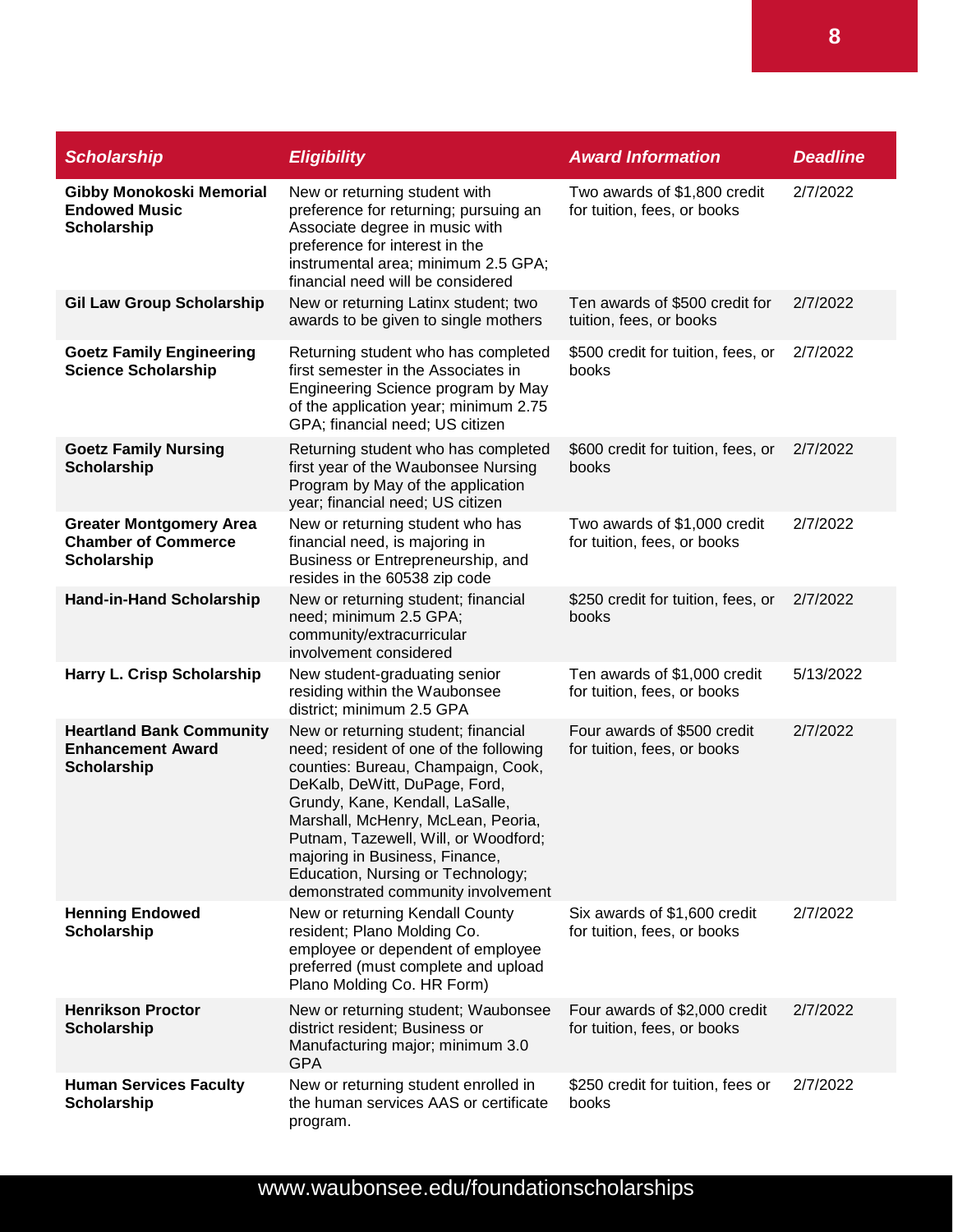| <b>Scholarship</b>                                                                | <b>Eligibility</b>                                                                                                                                                                                                                                                                                                                                                                 | <b>Award Information</b>                                     | <b>Deadline</b> |
|-----------------------------------------------------------------------------------|------------------------------------------------------------------------------------------------------------------------------------------------------------------------------------------------------------------------------------------------------------------------------------------------------------------------------------------------------------------------------------|--------------------------------------------------------------|-----------------|
| <b>Gibby Monokoski Memorial</b><br><b>Endowed Music</b><br>Scholarship            | New or returning student with<br>preference for returning; pursuing an<br>Associate degree in music with<br>preference for interest in the<br>instrumental area; minimum 2.5 GPA;<br>financial need will be considered                                                                                                                                                             | Two awards of \$1,800 credit<br>for tuition, fees, or books  | 2/7/2022        |
| <b>Gil Law Group Scholarship</b>                                                  | New or returning Latinx student; two<br>awards to be given to single mothers                                                                                                                                                                                                                                                                                                       | Ten awards of \$500 credit for<br>tuition, fees, or books    | 2/7/2022        |
| <b>Goetz Family Engineering</b><br><b>Science Scholarship</b>                     | Returning student who has completed<br>first semester in the Associates in<br>Engineering Science program by May<br>of the application year; minimum 2.75<br>GPA; financial need; US citizen                                                                                                                                                                                       | \$500 credit for tuition, fees, or<br>books                  | 2/7/2022        |
| <b>Goetz Family Nursing</b><br><b>Scholarship</b>                                 | Returning student who has completed<br>first year of the Waubonsee Nursing<br>Program by May of the application<br>year; financial need; US citizen                                                                                                                                                                                                                                | \$600 credit for tuition, fees, or<br>books                  | 2/7/2022        |
| <b>Greater Montgomery Area</b><br><b>Chamber of Commerce</b><br>Scholarship       | New or returning student who has<br>financial need, is majoring in<br>Business or Entrepreneurship, and<br>resides in the 60538 zip code                                                                                                                                                                                                                                           | Two awards of \$1,000 credit<br>for tuition, fees, or books  | 2/7/2022        |
| <b>Hand-in-Hand Scholarship</b>                                                   | New or returning student; financial<br>need; minimum 2.5 GPA;<br>community/extracurricular<br>involvement considered                                                                                                                                                                                                                                                               | \$250 credit for tuition, fees, or<br>books                  | 2/7/2022        |
| Harry L. Crisp Scholarship                                                        | New student-graduating senior<br>residing within the Waubonsee<br>district; minimum 2.5 GPA                                                                                                                                                                                                                                                                                        | Ten awards of \$1,000 credit<br>for tuition, fees, or books  | 5/13/2022       |
| <b>Heartland Bank Community</b><br><b>Enhancement Award</b><br><b>Scholarship</b> | New or returning student; financial<br>need; resident of one of the following<br>counties: Bureau, Champaign, Cook,<br>DeKalb, DeWitt, DuPage, Ford,<br>Grundy, Kane, Kendall, LaSalle,<br>Marshall, McHenry, McLean, Peoria,<br>Putnam, Tazewell, Will, or Woodford;<br>majoring in Business, Finance,<br>Education, Nursing or Technology;<br>demonstrated community involvement | Four awards of \$500 credit<br>for tuition, fees, or books   | 2/7/2022        |
| <b>Henning Endowed</b><br>Scholarship                                             | New or returning Kendall County<br>resident; Plano Molding Co.<br>employee or dependent of employee<br>preferred (must complete and upload<br>Plano Molding Co. HR Form)                                                                                                                                                                                                           | Six awards of \$1,600 credit<br>for tuition, fees, or books  | 2/7/2022        |
| <b>Henrikson Proctor</b><br><b>Scholarship</b>                                    | New or returning student; Waubonsee<br>district resident; Business or<br>Manufacturing major; minimum 3.0<br><b>GPA</b>                                                                                                                                                                                                                                                            | Four awards of \$2,000 credit<br>for tuition, fees, or books | 2/7/2022        |
| <b>Human Services Faculty</b><br><b>Scholarship</b>                               | New or returning student enrolled in<br>the human services AAS or certificate<br>program.                                                                                                                                                                                                                                                                                          | \$250 credit for tuition, fees or<br>books                   | 2/7/2022        |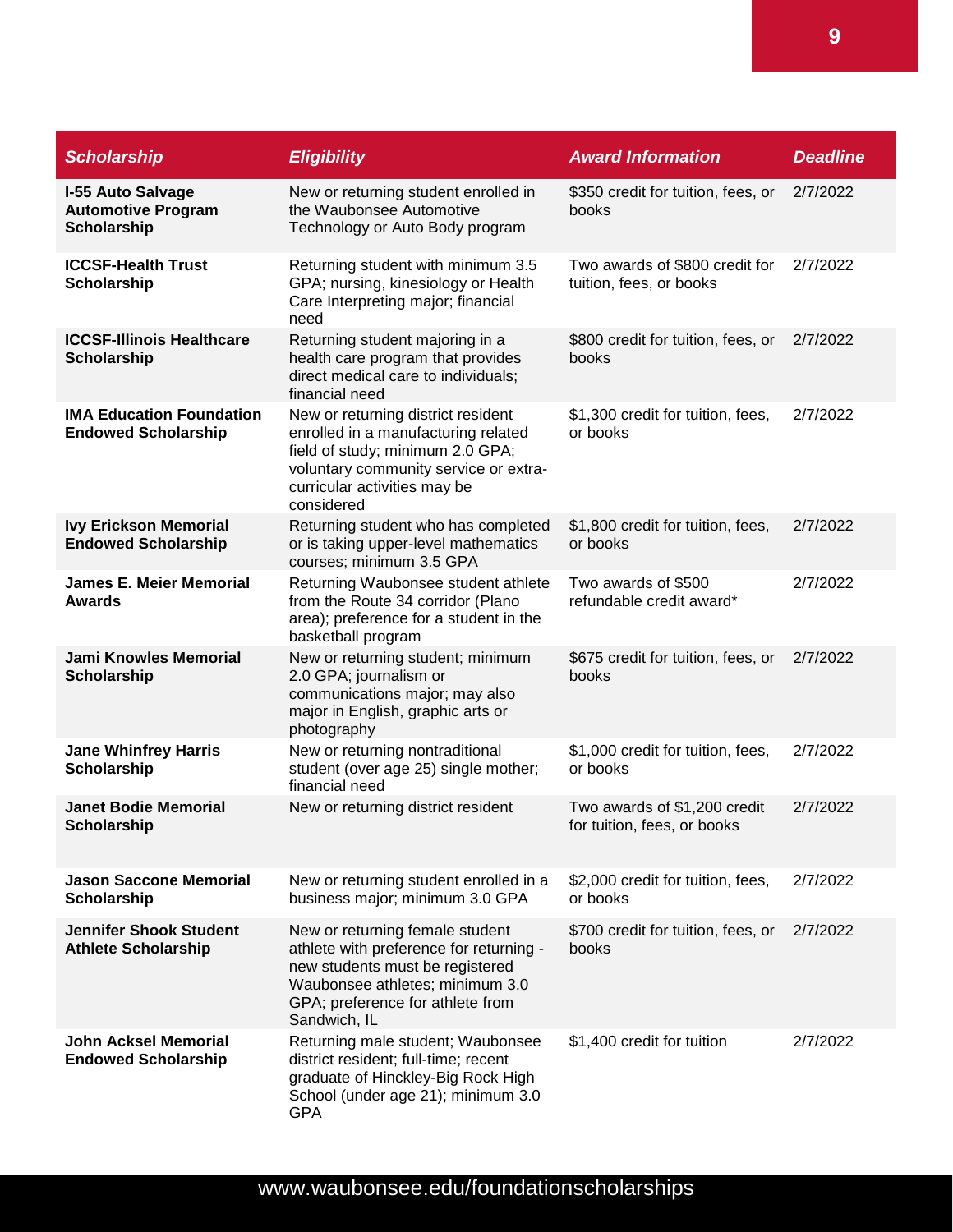| <b>Scholarship</b>                                                   | <b>Eligibility</b>                                                                                                                                                                                   | <b>Award Information</b>                                    | <b>Deadline</b> |
|----------------------------------------------------------------------|------------------------------------------------------------------------------------------------------------------------------------------------------------------------------------------------------|-------------------------------------------------------------|-----------------|
| <b>I-55 Auto Salvage</b><br><b>Automotive Program</b><br>Scholarship | New or returning student enrolled in<br>the Waubonsee Automotive<br>Technology or Auto Body program                                                                                                  | \$350 credit for tuition, fees, or<br>books                 | 2/7/2022        |
| <b>ICCSF-Health Trust</b><br>Scholarship                             | Returning student with minimum 3.5<br>GPA; nursing, kinesiology or Health<br>Care Interpreting major; financial<br>need                                                                              | Two awards of \$800 credit for<br>tuition, fees, or books   | 2/7/2022        |
| <b>ICCSF-Illinois Healthcare</b><br>Scholarship                      | Returning student majoring in a<br>health care program that provides<br>direct medical care to individuals;<br>financial need                                                                        | \$800 credit for tuition, fees, or<br>books                 | 2/7/2022        |
| <b>IMA Education Foundation</b><br><b>Endowed Scholarship</b>        | New or returning district resident<br>enrolled in a manufacturing related<br>field of study; minimum 2.0 GPA;<br>voluntary community service or extra-<br>curricular activities may be<br>considered | \$1,300 credit for tuition, fees,<br>or books               | 2/7/2022        |
| <b>Ivy Erickson Memorial</b><br><b>Endowed Scholarship</b>           | Returning student who has completed<br>or is taking upper-level mathematics<br>courses; minimum 3.5 GPA                                                                                              | \$1,800 credit for tuition, fees,<br>or books               | 2/7/2022        |
| <b>James E. Meier Memorial</b><br><b>Awards</b>                      | Returning Waubonsee student athlete<br>from the Route 34 corridor (Plano<br>area); preference for a student in the<br>basketball program                                                             | Two awards of \$500<br>refundable credit award*             | 2/7/2022        |
| <b>Jami Knowles Memorial</b><br><b>Scholarship</b>                   | New or returning student; minimum<br>2.0 GPA; journalism or<br>communications major; may also<br>major in English, graphic arts or<br>photography                                                    | \$675 credit for tuition, fees, or<br>books                 | 2/7/2022        |
| <b>Jane Whinfrey Harris</b><br>Scholarship                           | New or returning nontraditional<br>student (over age 25) single mother;<br>financial need                                                                                                            | \$1,000 credit for tuition, fees,<br>or books               | 2/7/2022        |
| <b>Janet Bodie Memorial</b><br><b>Scholarship</b>                    | New or returning district resident                                                                                                                                                                   | Two awards of \$1,200 credit<br>for tuition, fees, or books | 2/7/2022        |
| <b>Jason Saccone Memorial</b><br><b>Scholarship</b>                  | New or returning student enrolled in a<br>business major; minimum 3.0 GPA                                                                                                                            | \$2,000 credit for tuition, fees,<br>or books               | 2/7/2022        |
| <b>Jennifer Shook Student</b><br><b>Athlete Scholarship</b>          | New or returning female student<br>athlete with preference for returning -<br>new students must be registered<br>Waubonsee athletes; minimum 3.0<br>GPA; preference for athlete from<br>Sandwich, IL | \$700 credit for tuition, fees, or<br>books                 | 2/7/2022        |
| <b>John Acksel Memorial</b><br><b>Endowed Scholarship</b>            | Returning male student; Waubonsee<br>district resident; full-time; recent<br>graduate of Hinckley-Big Rock High<br>School (under age 21); minimum 3.0<br><b>GPA</b>                                  | \$1,400 credit for tuition                                  | 2/7/2022        |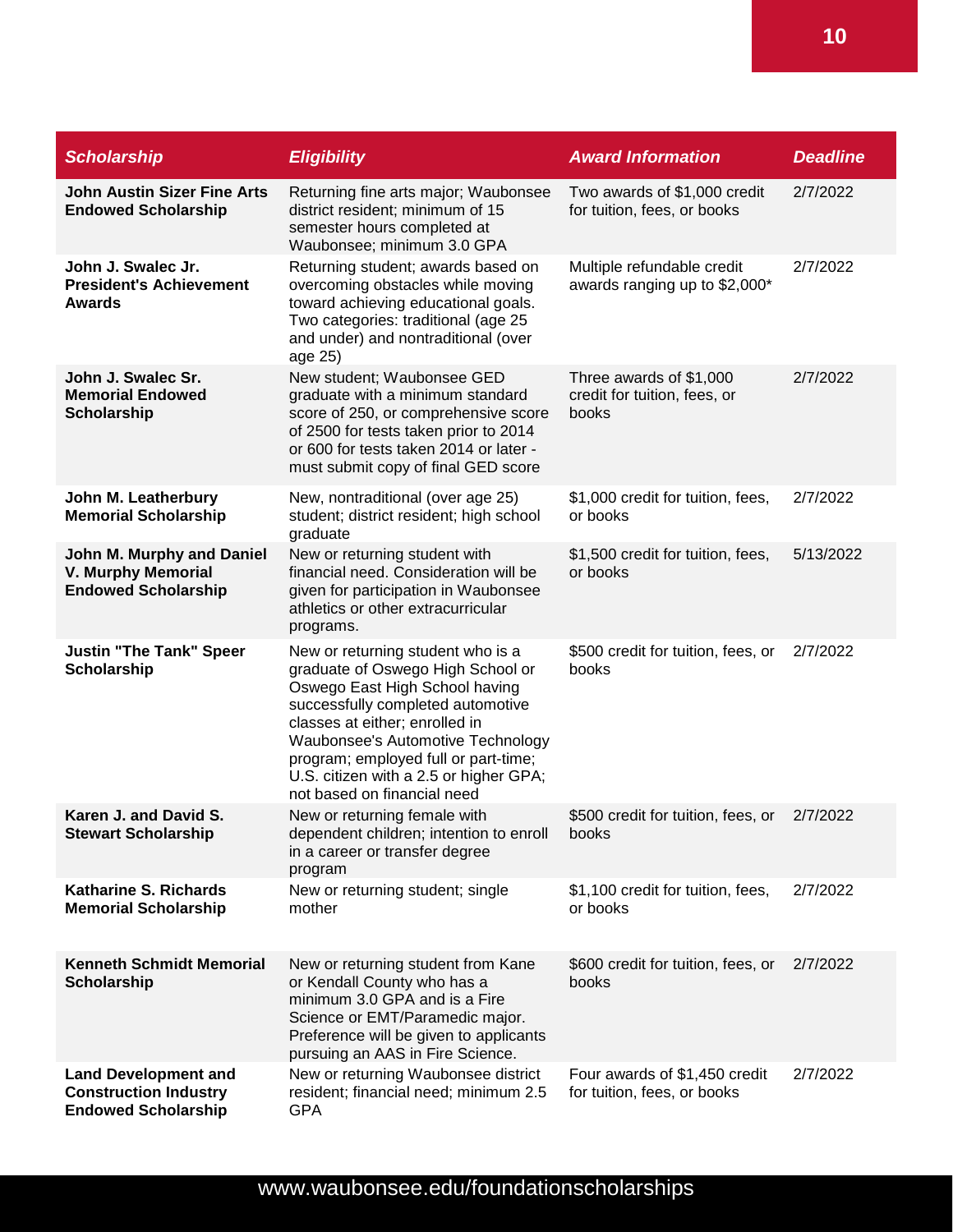| <b>Scholarship</b>                                                                        | <b>Eligibility</b>                                                                                                                                                                                                                                                                                                                    | <b>Award Information</b>                                         | <b>Deadline</b> |
|-------------------------------------------------------------------------------------------|---------------------------------------------------------------------------------------------------------------------------------------------------------------------------------------------------------------------------------------------------------------------------------------------------------------------------------------|------------------------------------------------------------------|-----------------|
| <b>John Austin Sizer Fine Arts</b><br><b>Endowed Scholarship</b>                          | Returning fine arts major; Waubonsee<br>district resident; minimum of 15<br>semester hours completed at<br>Waubonsee; minimum 3.0 GPA                                                                                                                                                                                                 | Two awards of \$1,000 credit<br>for tuition, fees, or books      | 2/7/2022        |
| John J. Swalec Jr.<br><b>President's Achievement</b><br><b>Awards</b>                     | Returning student; awards based on<br>overcoming obstacles while moving<br>toward achieving educational goals.<br>Two categories: traditional (age 25<br>and under) and nontraditional (over<br>age 25)                                                                                                                               | Multiple refundable credit<br>awards ranging up to \$2,000*      | 2/7/2022        |
| John J. Swalec Sr.<br><b>Memorial Endowed</b><br><b>Scholarship</b>                       | New student; Waubonsee GED<br>graduate with a minimum standard<br>score of 250, or comprehensive score<br>of 2500 for tests taken prior to 2014<br>or 600 for tests taken 2014 or later -<br>must submit copy of final GED score                                                                                                      | Three awards of \$1,000<br>credit for tuition, fees, or<br>books | 2/7/2022        |
| John M. Leatherbury<br><b>Memorial Scholarship</b>                                        | New, nontraditional (over age 25)<br>student; district resident; high school<br>graduate                                                                                                                                                                                                                                              | \$1,000 credit for tuition, fees,<br>or books                    | 2/7/2022        |
| John M. Murphy and Daniel<br><b>V. Murphy Memorial</b><br><b>Endowed Scholarship</b>      | New or returning student with<br>financial need. Consideration will be<br>given for participation in Waubonsee<br>athletics or other extracurricular<br>programs.                                                                                                                                                                     | \$1,500 credit for tuition, fees,<br>or books                    | 5/13/2022       |
| <b>Justin "The Tank" Speer</b><br>Scholarship                                             | New or returning student who is a<br>graduate of Oswego High School or<br>Oswego East High School having<br>successfully completed automotive<br>classes at either; enrolled in<br>Waubonsee's Automotive Technology<br>program; employed full or part-time;<br>U.S. citizen with a 2.5 or higher GPA;<br>not based on financial need | \$500 credit for tuition, fees, or<br>books                      | 2/7/2022        |
| Karen J. and David S.<br><b>Stewart Scholarship</b>                                       | New or returning female with<br>dependent children; intention to enroll<br>in a career or transfer degree<br>program                                                                                                                                                                                                                  | \$500 credit for tuition, fees, or<br>books                      | 2/7/2022        |
| <b>Katharine S. Richards</b><br><b>Memorial Scholarship</b>                               | New or returning student; single<br>mother                                                                                                                                                                                                                                                                                            | \$1,100 credit for tuition, fees,<br>or books                    | 2/7/2022        |
| <b>Kenneth Schmidt Memorial</b><br><b>Scholarship</b>                                     | New or returning student from Kane<br>or Kendall County who has a<br>minimum 3.0 GPA and is a Fire<br>Science or EMT/Paramedic major.<br>Preference will be given to applicants<br>pursuing an AAS in Fire Science.                                                                                                                   | \$600 credit for tuition, fees, or<br>books                      | 2/7/2022        |
| <b>Land Development and</b><br><b>Construction Industry</b><br><b>Endowed Scholarship</b> | New or returning Waubonsee district<br>resident; financial need; minimum 2.5<br><b>GPA</b>                                                                                                                                                                                                                                            | Four awards of \$1,450 credit<br>for tuition, fees, or books     | 2/7/2022        |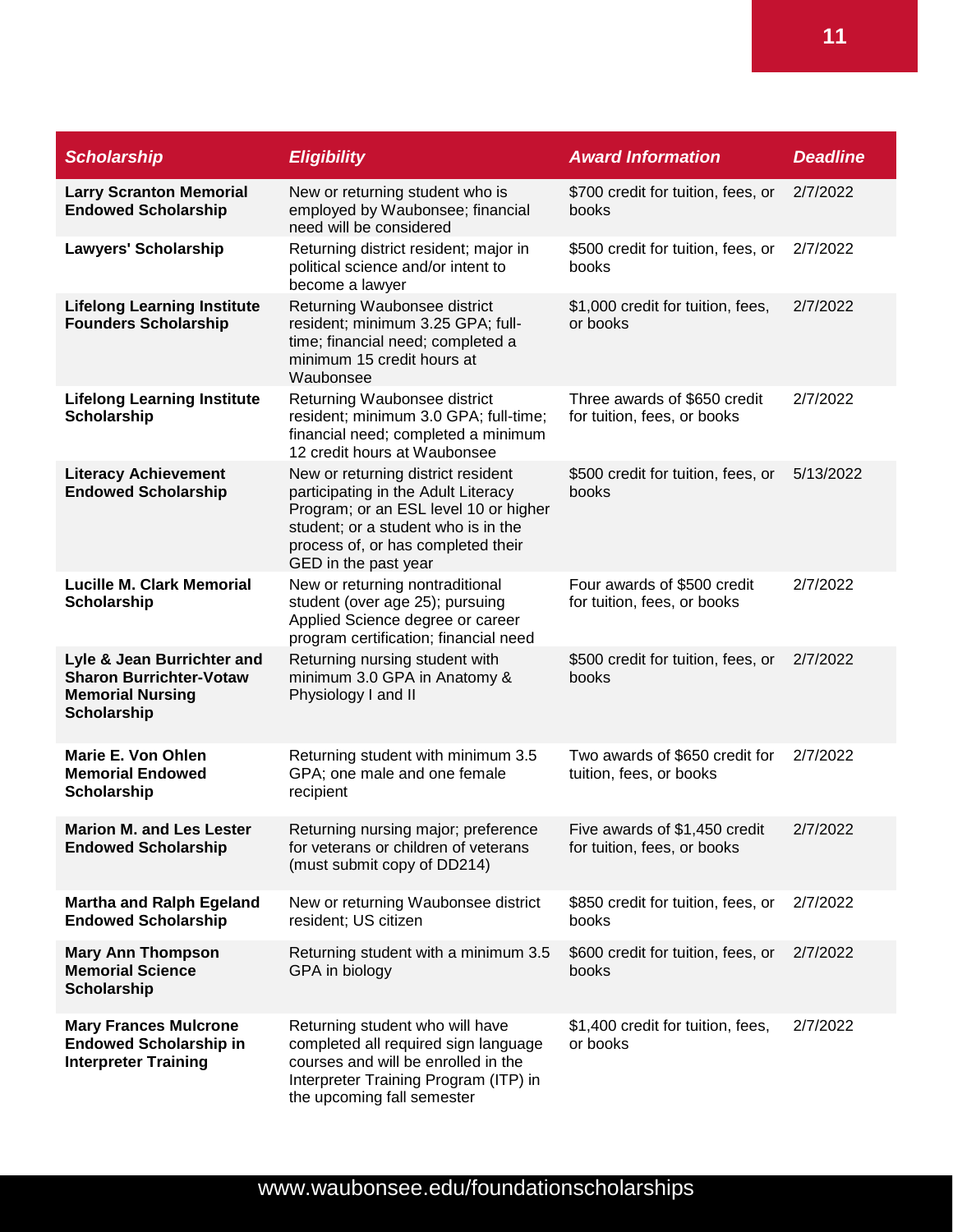| <b>Scholarship</b>                                                                                            | <b>Eligibility</b>                                                                                                                                                                                                      | <b>Award Information</b>                                     | <b>Deadline</b> |
|---------------------------------------------------------------------------------------------------------------|-------------------------------------------------------------------------------------------------------------------------------------------------------------------------------------------------------------------------|--------------------------------------------------------------|-----------------|
| <b>Larry Scranton Memorial</b><br><b>Endowed Scholarship</b>                                                  | New or returning student who is<br>employed by Waubonsee; financial<br>need will be considered                                                                                                                          | \$700 credit for tuition, fees, or<br>books                  | 2/7/2022        |
| <b>Lawyers' Scholarship</b>                                                                                   | Returning district resident; major in<br>political science and/or intent to<br>become a lawyer                                                                                                                          | \$500 credit for tuition, fees, or<br>books                  | 2/7/2022        |
| <b>Lifelong Learning Institute</b><br><b>Founders Scholarship</b>                                             | Returning Waubonsee district<br>resident; minimum 3.25 GPA; full-<br>time; financial need; completed a<br>minimum 15 credit hours at<br>Waubonsee                                                                       | \$1,000 credit for tuition, fees,<br>or books                | 2/7/2022        |
| <b>Lifelong Learning Institute</b><br><b>Scholarship</b>                                                      | Returning Waubonsee district<br>resident; minimum 3.0 GPA; full-time;<br>financial need; completed a minimum<br>12 credit hours at Waubonsee                                                                            | Three awards of \$650 credit<br>for tuition, fees, or books  | 2/7/2022        |
| <b>Literacy Achievement</b><br><b>Endowed Scholarship</b>                                                     | New or returning district resident<br>participating in the Adult Literacy<br>Program; or an ESL level 10 or higher<br>student; or a student who is in the<br>process of, or has completed their<br>GED in the past year | \$500 credit for tuition, fees, or<br>books                  | 5/13/2022       |
| <b>Lucille M. Clark Memorial</b><br><b>Scholarship</b>                                                        | New or returning nontraditional<br>student (over age 25); pursuing<br>Applied Science degree or career<br>program certification; financial need                                                                         | Four awards of \$500 credit<br>for tuition, fees, or books   | 2/7/2022        |
| Lyle & Jean Burrichter and<br><b>Sharon Burrichter-Votaw</b><br><b>Memorial Nursing</b><br><b>Scholarship</b> | Returning nursing student with<br>minimum 3.0 GPA in Anatomy &<br>Physiology I and II                                                                                                                                   | \$500 credit for tuition, fees, or<br>books                  | 2/7/2022        |
| Marie E. Von Ohlen<br><b>Memorial Endowed</b><br><b>Scholarship</b>                                           | Returning student with minimum 3.5<br>GPA; one male and one female<br>recipient                                                                                                                                         | Two awards of \$650 credit for<br>tuition, fees, or books    | 2/7/2022        |
| <b>Marion M. and Les Lester</b><br><b>Endowed Scholarship</b>                                                 | Returning nursing major; preference<br>for veterans or children of veterans<br>(must submit copy of DD214)                                                                                                              | Five awards of \$1,450 credit<br>for tuition, fees, or books | 2/7/2022        |
| <b>Martha and Ralph Egeland</b><br><b>Endowed Scholarship</b>                                                 | New or returning Waubonsee district<br>resident; US citizen                                                                                                                                                             | \$850 credit for tuition, fees, or<br>books                  | 2/7/2022        |
| <b>Mary Ann Thompson</b><br><b>Memorial Science</b><br><b>Scholarship</b>                                     | Returning student with a minimum 3.5<br>GPA in biology                                                                                                                                                                  | \$600 credit for tuition, fees, or<br>books                  | 2/7/2022        |
| <b>Mary Frances Mulcrone</b><br><b>Endowed Scholarship in</b><br><b>Interpreter Training</b>                  | Returning student who will have<br>completed all required sign language<br>courses and will be enrolled in the<br>Interpreter Training Program (ITP) in<br>the upcoming fall semester                                   | \$1,400 credit for tuition, fees,<br>or books                | 2/7/2022        |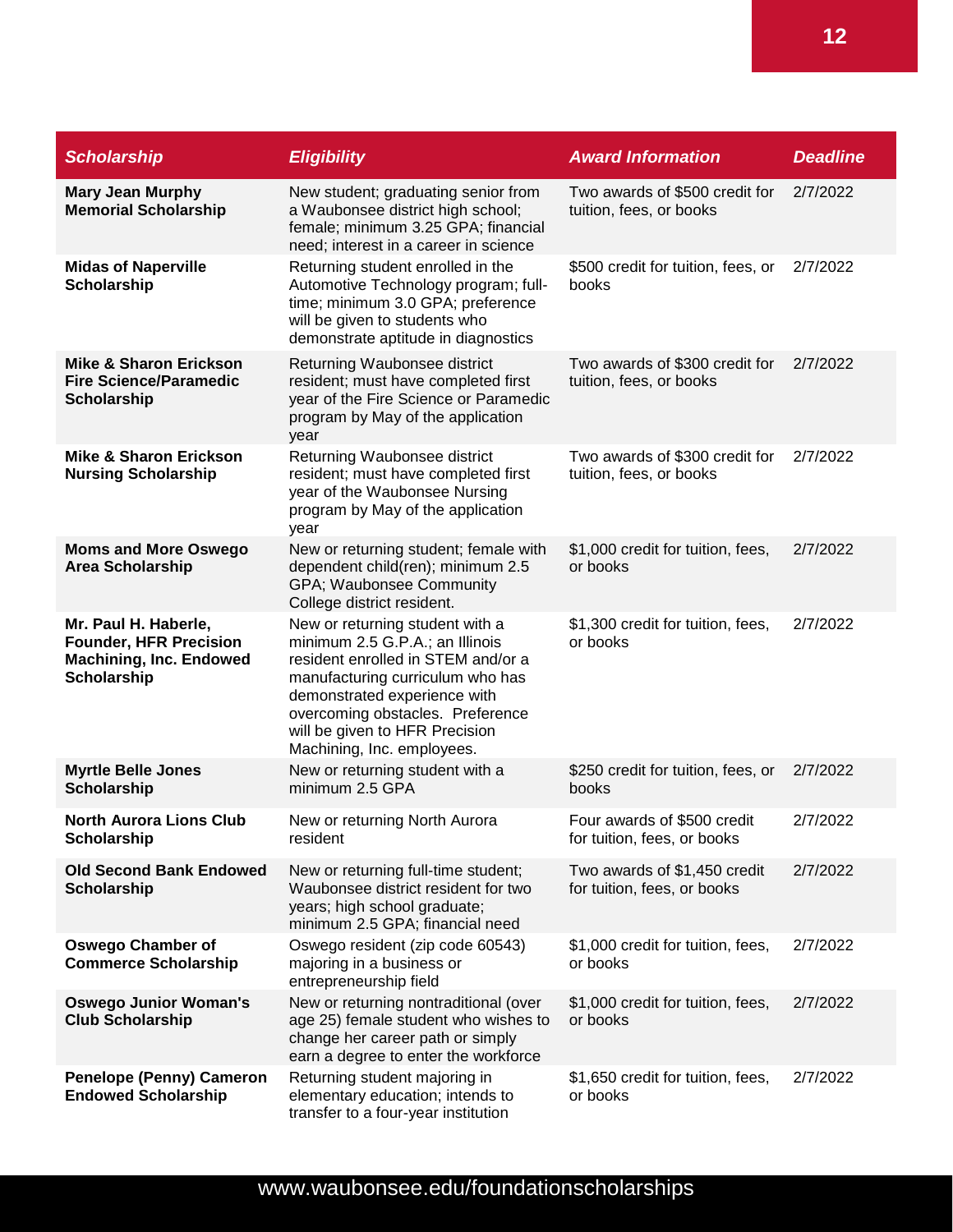| <b>Scholarship</b>                                                                                            | <b>Eligibility</b>                                                                                                                                                                                                                                                               | <b>Award Information</b>                                    | <b>Deadline</b> |
|---------------------------------------------------------------------------------------------------------------|----------------------------------------------------------------------------------------------------------------------------------------------------------------------------------------------------------------------------------------------------------------------------------|-------------------------------------------------------------|-----------------|
| <b>Mary Jean Murphy</b><br><b>Memorial Scholarship</b>                                                        | New student; graduating senior from<br>a Waubonsee district high school;<br>female; minimum 3.25 GPA; financial<br>need; interest in a career in science                                                                                                                         | Two awards of \$500 credit for<br>tuition, fees, or books   | 2/7/2022        |
| <b>Midas of Naperville</b><br><b>Scholarship</b>                                                              | Returning student enrolled in the<br>Automotive Technology program; full-<br>time; minimum 3.0 GPA; preference<br>will be given to students who<br>demonstrate aptitude in diagnostics                                                                                           | \$500 credit for tuition, fees, or<br>books                 | 2/7/2022        |
| <b>Mike &amp; Sharon Erickson</b><br><b>Fire Science/Paramedic</b><br>Scholarship                             | Returning Waubonsee district<br>resident; must have completed first<br>year of the Fire Science or Paramedic<br>program by May of the application<br>year                                                                                                                        | Two awards of \$300 credit for<br>tuition, fees, or books   | 2/7/2022        |
| <b>Mike &amp; Sharon Erickson</b><br><b>Nursing Scholarship</b>                                               | Returning Waubonsee district<br>resident; must have completed first<br>year of the Waubonsee Nursing<br>program by May of the application<br>year                                                                                                                                | Two awards of \$300 credit for<br>tuition, fees, or books   | 2/7/2022        |
| <b>Moms and More Oswego</b><br><b>Area Scholarship</b>                                                        | New or returning student; female with<br>dependent child(ren); minimum 2.5<br>GPA; Waubonsee Community<br>College district resident.                                                                                                                                             | \$1,000 credit for tuition, fees,<br>or books               | 2/7/2022        |
| Mr. Paul H. Haberle,<br><b>Founder, HFR Precision</b><br><b>Machining, Inc. Endowed</b><br><b>Scholarship</b> | New or returning student with a<br>minimum 2.5 G.P.A.; an Illinois<br>resident enrolled in STEM and/or a<br>manufacturing curriculum who has<br>demonstrated experience with<br>overcoming obstacles. Preference<br>will be given to HFR Precision<br>Machining, Inc. employees. | \$1,300 credit for tuition, fees,<br>or books               | 2/7/2022        |
| <b>Myrtle Belle Jones</b><br>Scholarship                                                                      | New or returning student with a<br>minimum 2.5 GPA                                                                                                                                                                                                                               | \$250 credit for tuition, fees, or<br>books                 | 2/7/2022        |
| <b>North Aurora Lions Club</b><br><b>Scholarship</b>                                                          | New or returning North Aurora<br>resident                                                                                                                                                                                                                                        | Four awards of \$500 credit<br>for tuition, fees, or books  | 2/7/2022        |
| <b>Old Second Bank Endowed</b><br><b>Scholarship</b>                                                          | New or returning full-time student;<br>Waubonsee district resident for two<br>years; high school graduate;<br>minimum 2.5 GPA; financial need                                                                                                                                    | Two awards of \$1,450 credit<br>for tuition, fees, or books | 2/7/2022        |
| <b>Oswego Chamber of</b><br><b>Commerce Scholarship</b>                                                       | Oswego resident (zip code 60543)<br>majoring in a business or<br>entrepreneurship field                                                                                                                                                                                          | \$1,000 credit for tuition, fees,<br>or books               | 2/7/2022        |
| <b>Oswego Junior Woman's</b><br><b>Club Scholarship</b>                                                       | New or returning nontraditional (over<br>age 25) female student who wishes to<br>change her career path or simply<br>earn a degree to enter the workforce                                                                                                                        | \$1,000 credit for tuition, fees,<br>or books               | 2/7/2022        |
| <b>Penelope (Penny) Cameron</b><br><b>Endowed Scholarship</b>                                                 | Returning student majoring in<br>elementary education; intends to<br>transfer to a four-year institution                                                                                                                                                                         | \$1,650 credit for tuition, fees,<br>or books               | 2/7/2022        |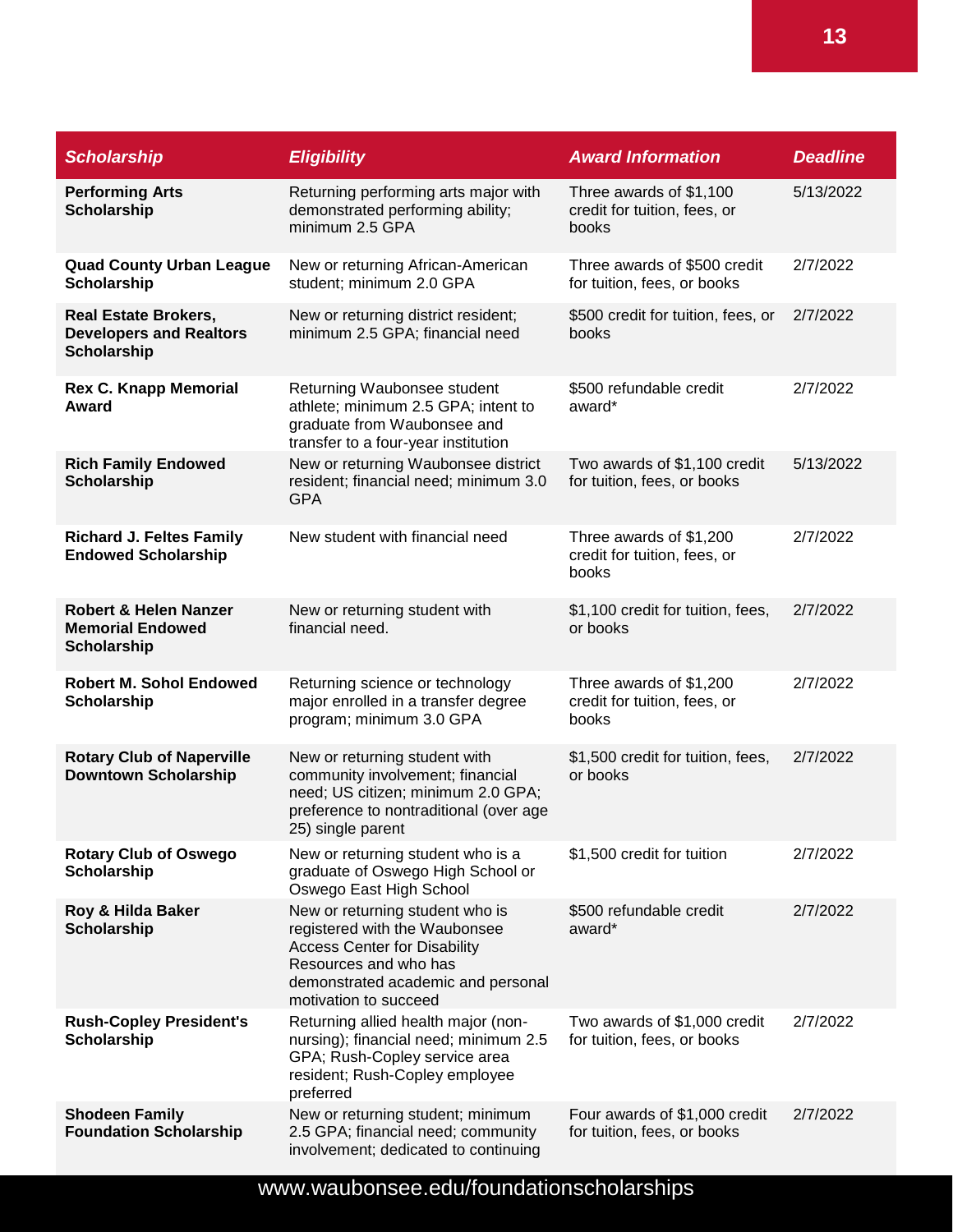| <b>Scholarship</b>                                                                  | <b>Eligibility</b>                                                                                                                                                                              | <b>Award Information</b>                                         | <b>Deadline</b> |
|-------------------------------------------------------------------------------------|-------------------------------------------------------------------------------------------------------------------------------------------------------------------------------------------------|------------------------------------------------------------------|-----------------|
| <b>Performing Arts</b><br><b>Scholarship</b>                                        | Returning performing arts major with<br>demonstrated performing ability;<br>minimum 2.5 GPA                                                                                                     | Three awards of \$1,100<br>credit for tuition, fees, or<br>books | 5/13/2022       |
| <b>Quad County Urban League</b><br><b>Scholarship</b>                               | New or returning African-American<br>student; minimum 2.0 GPA                                                                                                                                   | Three awards of \$500 credit<br>for tuition, fees, or books      | 2/7/2022        |
| <b>Real Estate Brokers,</b><br><b>Developers and Realtors</b><br><b>Scholarship</b> | New or returning district resident;<br>minimum 2.5 GPA; financial need                                                                                                                          | \$500 credit for tuition, fees, or<br>books                      | 2/7/2022        |
| <b>Rex C. Knapp Memorial</b><br>Award                                               | Returning Waubonsee student<br>athlete; minimum 2.5 GPA; intent to<br>graduate from Waubonsee and<br>transfer to a four-year institution                                                        | \$500 refundable credit<br>award*                                | 2/7/2022        |
| <b>Rich Family Endowed</b><br><b>Scholarship</b>                                    | New or returning Waubonsee district<br>resident; financial need; minimum 3.0<br><b>GPA</b>                                                                                                      | Two awards of \$1,100 credit<br>for tuition, fees, or books      | 5/13/2022       |
| <b>Richard J. Feltes Family</b><br><b>Endowed Scholarship</b>                       | New student with financial need                                                                                                                                                                 | Three awards of \$1,200<br>credit for tuition, fees, or<br>books | 2/7/2022        |
| <b>Robert &amp; Helen Nanzer</b><br><b>Memorial Endowed</b><br>Scholarship          | New or returning student with<br>financial need.                                                                                                                                                | \$1,100 credit for tuition, fees,<br>or books                    | 2/7/2022        |
| <b>Robert M. Sohol Endowed</b><br><b>Scholarship</b>                                | Returning science or technology<br>major enrolled in a transfer degree<br>program; minimum 3.0 GPA                                                                                              | Three awards of \$1,200<br>credit for tuition, fees, or<br>books | 2/7/2022        |
| <b>Rotary Club of Naperville</b><br><b>Downtown Scholarship</b>                     | New or returning student with<br>community involvement; financial<br>need; US citizen; minimum 2.0 GPA;<br>preference to nontraditional (over age<br>25) single parent                          | \$1,500 credit for tuition, fees,<br>or books                    | 2/7/2022        |
| <b>Rotary Club of Oswego</b><br><b>Scholarship</b>                                  | New or returning student who is a<br>graduate of Oswego High School or<br>Oswego East High School                                                                                               | \$1,500 credit for tuition                                       | 2/7/2022        |
| Roy & Hilda Baker<br><b>Scholarship</b>                                             | New or returning student who is<br>registered with the Waubonsee<br><b>Access Center for Disability</b><br>Resources and who has<br>demonstrated academic and personal<br>motivation to succeed | \$500 refundable credit<br>award*                                | 2/7/2022        |
| <b>Rush-Copley President's</b><br><b>Scholarship</b>                                | Returning allied health major (non-<br>nursing); financial need; minimum 2.5<br>GPA; Rush-Copley service area<br>resident; Rush-Copley employee<br>preferred                                    | Two awards of \$1,000 credit<br>for tuition, fees, or books      | 2/7/2022        |
| <b>Shodeen Family</b><br><b>Foundation Scholarship</b>                              | New or returning student; minimum<br>2.5 GPA; financial need; community<br>involvement; dedicated to continuing                                                                                 | Four awards of \$1,000 credit<br>for tuition, fees, or books     | 2/7/2022        |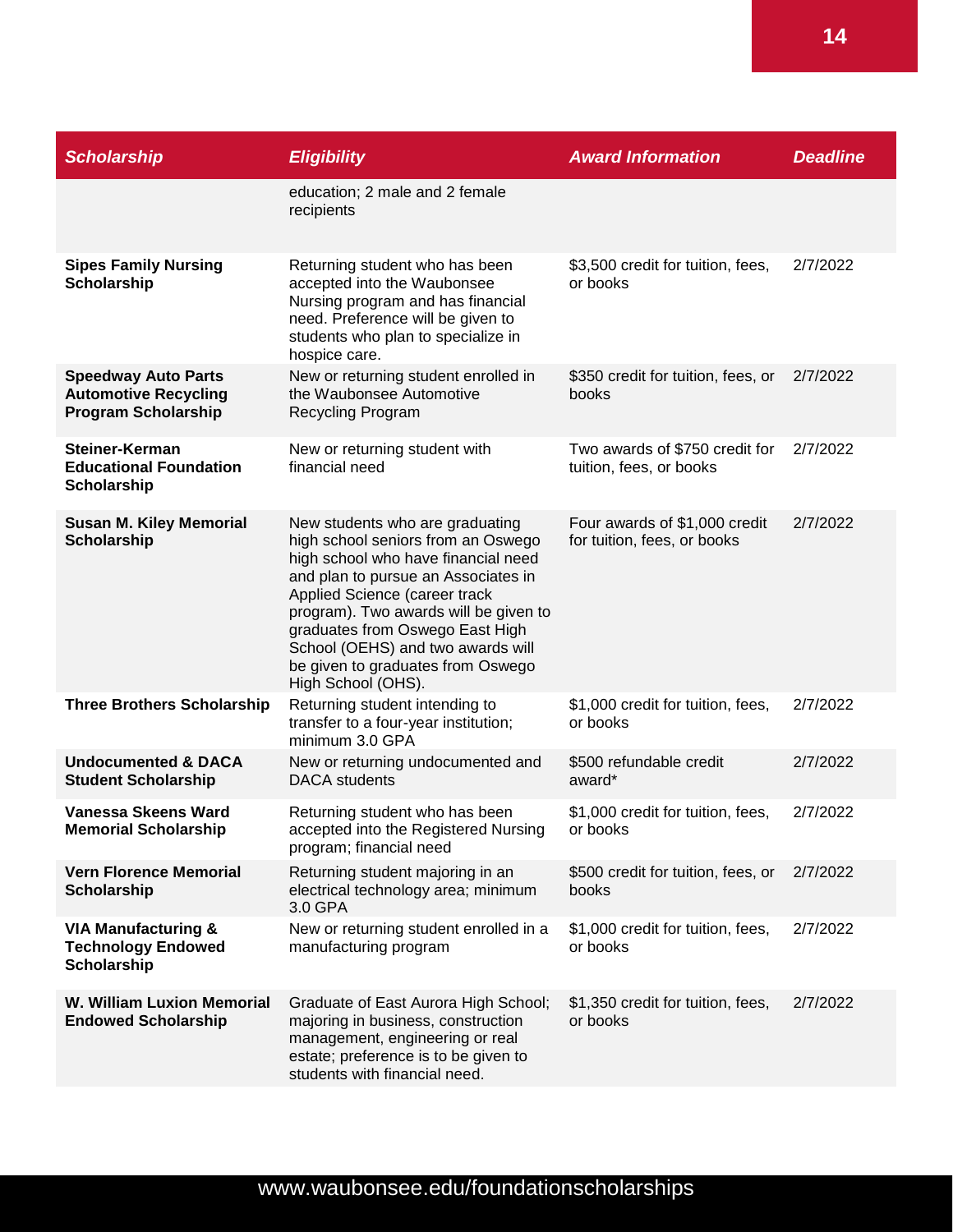| <b>Scholarship</b>                                                                      | <b>Eligibility</b>                                                                                                                                                                                                                                                                                                                                               | <b>Award Information</b>                                     | <b>Deadline</b> |
|-----------------------------------------------------------------------------------------|------------------------------------------------------------------------------------------------------------------------------------------------------------------------------------------------------------------------------------------------------------------------------------------------------------------------------------------------------------------|--------------------------------------------------------------|-----------------|
|                                                                                         | education; 2 male and 2 female<br>recipients                                                                                                                                                                                                                                                                                                                     |                                                              |                 |
| <b>Sipes Family Nursing</b><br>Scholarship                                              | Returning student who has been<br>accepted into the Waubonsee<br>Nursing program and has financial<br>need. Preference will be given to<br>students who plan to specialize in<br>hospice care.                                                                                                                                                                   | \$3,500 credit for tuition, fees,<br>or books                | 2/7/2022        |
| <b>Speedway Auto Parts</b><br><b>Automotive Recycling</b><br><b>Program Scholarship</b> | New or returning student enrolled in<br>the Waubonsee Automotive<br><b>Recycling Program</b>                                                                                                                                                                                                                                                                     | \$350 credit for tuition, fees, or<br>books                  | 2/7/2022        |
| Steiner-Kerman<br><b>Educational Foundation</b><br>Scholarship                          | New or returning student with<br>financial need                                                                                                                                                                                                                                                                                                                  | Two awards of \$750 credit for<br>tuition, fees, or books    | 2/7/2022        |
| <b>Susan M. Kiley Memorial</b><br><b>Scholarship</b>                                    | New students who are graduating<br>high school seniors from an Oswego<br>high school who have financial need<br>and plan to pursue an Associates in<br>Applied Science (career track<br>program). Two awards will be given to<br>graduates from Oswego East High<br>School (OEHS) and two awards will<br>be given to graduates from Oswego<br>High School (OHS). | Four awards of \$1,000 credit<br>for tuition, fees, or books | 2/7/2022        |
| <b>Three Brothers Scholarship</b>                                                       | Returning student intending to<br>transfer to a four-year institution;<br>minimum 3.0 GPA                                                                                                                                                                                                                                                                        | \$1,000 credit for tuition, fees,<br>or books                | 2/7/2022        |
| <b>Undocumented &amp; DACA</b><br><b>Student Scholarship</b>                            | New or returning undocumented and<br><b>DACA</b> students                                                                                                                                                                                                                                                                                                        | \$500 refundable credit<br>award*                            | 2/7/2022        |
| Vanessa Skeens Ward<br><b>Memorial Scholarship</b>                                      | Returning student who has been<br>accepted into the Registered Nursing<br>program; financial need                                                                                                                                                                                                                                                                | \$1,000 credit for tuition, fees,<br>or books                | 2/7/2022        |
| <b>Vern Florence Memorial</b><br><b>Scholarship</b>                                     | Returning student majoring in an<br>electrical technology area; minimum<br>3.0 GPA                                                                                                                                                                                                                                                                               | \$500 credit for tuition, fees, or<br>books                  | 2/7/2022        |
| <b>VIA Manufacturing &amp;</b><br><b>Technology Endowed</b><br>Scholarship              | New or returning student enrolled in a<br>manufacturing program                                                                                                                                                                                                                                                                                                  | \$1,000 credit for tuition, fees,<br>or books                | 2/7/2022        |
| <b>W. William Luxion Memorial</b><br><b>Endowed Scholarship</b>                         | Graduate of East Aurora High School;<br>majoring in business, construction<br>management, engineering or real<br>estate; preference is to be given to<br>students with financial need.                                                                                                                                                                           | \$1,350 credit for tuition, fees,<br>or books                | 2/7/2022        |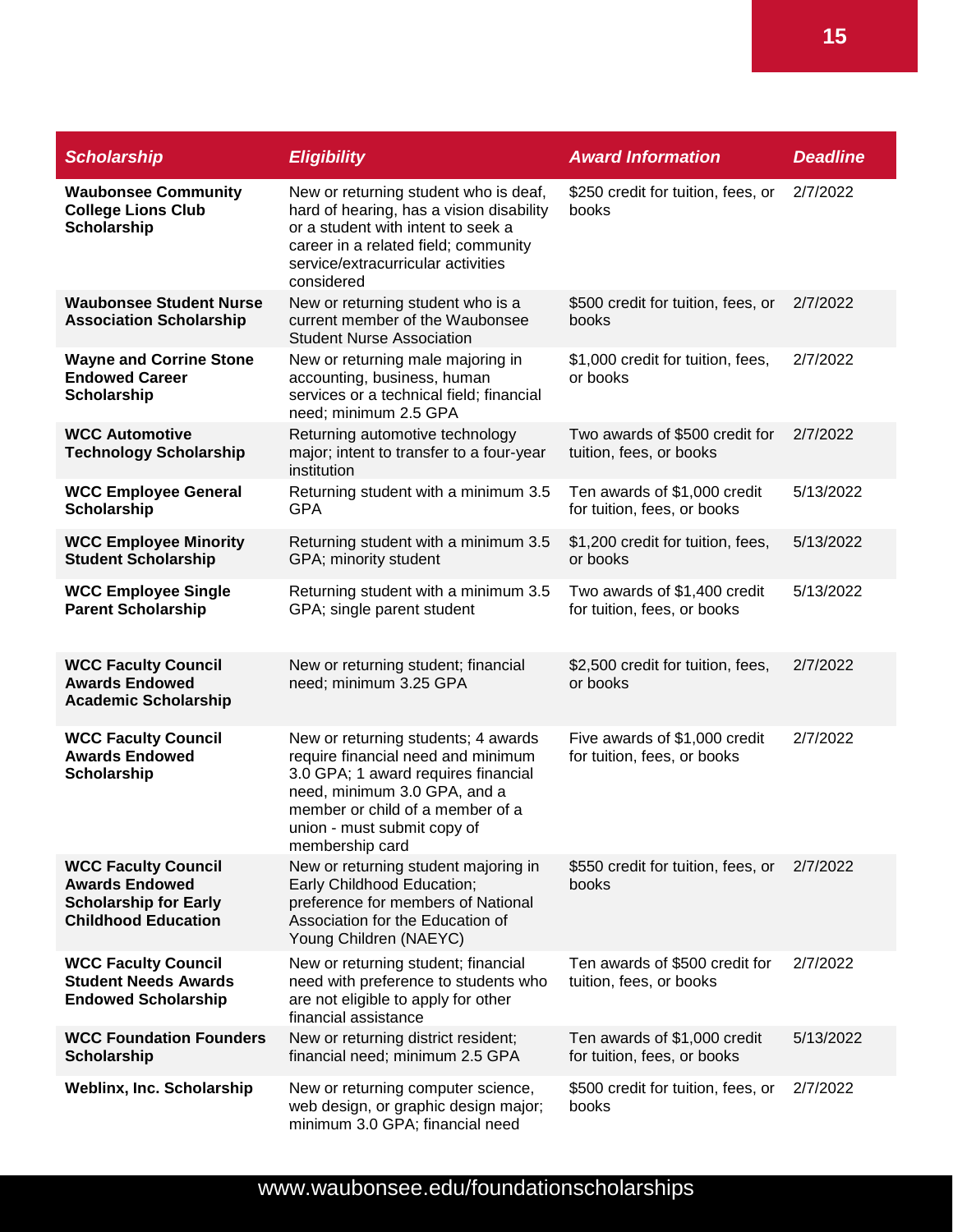| <b>Scholarship</b>                                                                                                | <b>Eligibility</b>                                                                                                                                                                                                                     | <b>Award Information</b>                                     | <b>Deadline</b> |
|-------------------------------------------------------------------------------------------------------------------|----------------------------------------------------------------------------------------------------------------------------------------------------------------------------------------------------------------------------------------|--------------------------------------------------------------|-----------------|
| <b>Waubonsee Community</b><br><b>College Lions Club</b><br><b>Scholarship</b>                                     | New or returning student who is deaf,<br>hard of hearing, has a vision disability<br>or a student with intent to seek a<br>career in a related field; community<br>service/extracurricular activities<br>considered                    | \$250 credit for tuition, fees, or<br>books                  | 2/7/2022        |
| <b>Waubonsee Student Nurse</b><br><b>Association Scholarship</b>                                                  | New or returning student who is a<br>current member of the Waubonsee<br><b>Student Nurse Association</b>                                                                                                                               | \$500 credit for tuition, fees, or<br>books                  | 2/7/2022        |
| <b>Wayne and Corrine Stone</b><br><b>Endowed Career</b><br><b>Scholarship</b>                                     | New or returning male majoring in<br>accounting, business, human<br>services or a technical field; financial<br>need; minimum 2.5 GPA                                                                                                  | \$1,000 credit for tuition, fees,<br>or books                | 2/7/2022        |
| <b>WCC Automotive</b><br><b>Technology Scholarship</b>                                                            | Returning automotive technology<br>major; intent to transfer to a four-year<br>institution                                                                                                                                             | Two awards of \$500 credit for<br>tuition, fees, or books    | 2/7/2022        |
| <b>WCC Employee General</b><br><b>Scholarship</b>                                                                 | Returning student with a minimum 3.5<br><b>GPA</b>                                                                                                                                                                                     | Ten awards of \$1,000 credit<br>for tuition, fees, or books  | 5/13/2022       |
| <b>WCC Employee Minority</b><br><b>Student Scholarship</b>                                                        | Returning student with a minimum 3.5<br>GPA; minority student                                                                                                                                                                          | \$1,200 credit for tuition, fees,<br>or books                | 5/13/2022       |
| <b>WCC Employee Single</b><br><b>Parent Scholarship</b>                                                           | Returning student with a minimum 3.5<br>GPA; single parent student                                                                                                                                                                     | Two awards of \$1,400 credit<br>for tuition, fees, or books  | 5/13/2022       |
| <b>WCC Faculty Council</b><br><b>Awards Endowed</b><br><b>Academic Scholarship</b>                                | New or returning student; financial<br>need; minimum 3.25 GPA                                                                                                                                                                          | \$2,500 credit for tuition, fees,<br>or books                | 2/7/2022        |
| <b>WCC Faculty Council</b><br><b>Awards Endowed</b><br><b>Scholarship</b>                                         | New or returning students; 4 awards<br>require financial need and minimum<br>3.0 GPA; 1 award requires financial<br>need, minimum 3.0 GPA, and a<br>member or child of a member of a<br>union - must submit copy of<br>membership card | Five awards of \$1,000 credit<br>for tuition, fees, or books | 2/7/2022        |
| <b>WCC Faculty Council</b><br><b>Awards Endowed</b><br><b>Scholarship for Early</b><br><b>Childhood Education</b> | New or returning student majoring in<br>Early Childhood Education;<br>preference for members of National<br>Association for the Education of<br>Young Children (NAEYC)                                                                 | \$550 credit for tuition, fees, or<br>books                  | 2/7/2022        |
| <b>WCC Faculty Council</b><br><b>Student Needs Awards</b><br><b>Endowed Scholarship</b>                           | New or returning student; financial<br>need with preference to students who<br>are not eligible to apply for other<br>financial assistance                                                                                             | Ten awards of \$500 credit for<br>tuition, fees, or books    | 2/7/2022        |
| <b>WCC Foundation Founders</b><br><b>Scholarship</b>                                                              | New or returning district resident;<br>financial need; minimum 2.5 GPA                                                                                                                                                                 | Ten awards of \$1,000 credit<br>for tuition, fees, or books  | 5/13/2022       |
| <b>Weblinx, Inc. Scholarship</b>                                                                                  | New or returning computer science,<br>web design, or graphic design major;<br>minimum 3.0 GPA; financial need                                                                                                                          | \$500 credit for tuition, fees, or<br>books                  | 2/7/2022        |